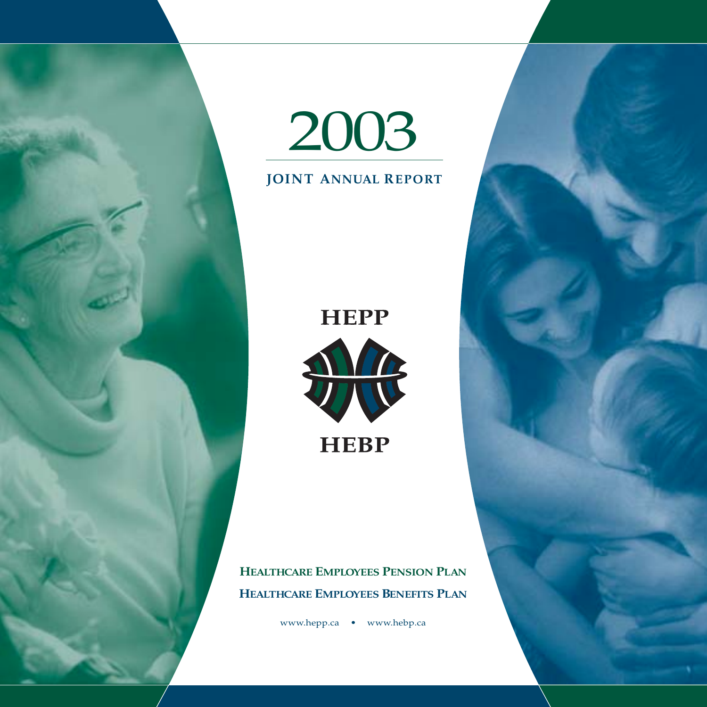



### **JOINT ANNUAL REPORT**

# **HEPP**



**HEALTHCARE EMPLOYEES PENSION PLAN HEALTHCARE EMPLOYEES BENEFITS PLAN**

www.hepp.ca • www.hebp.ca

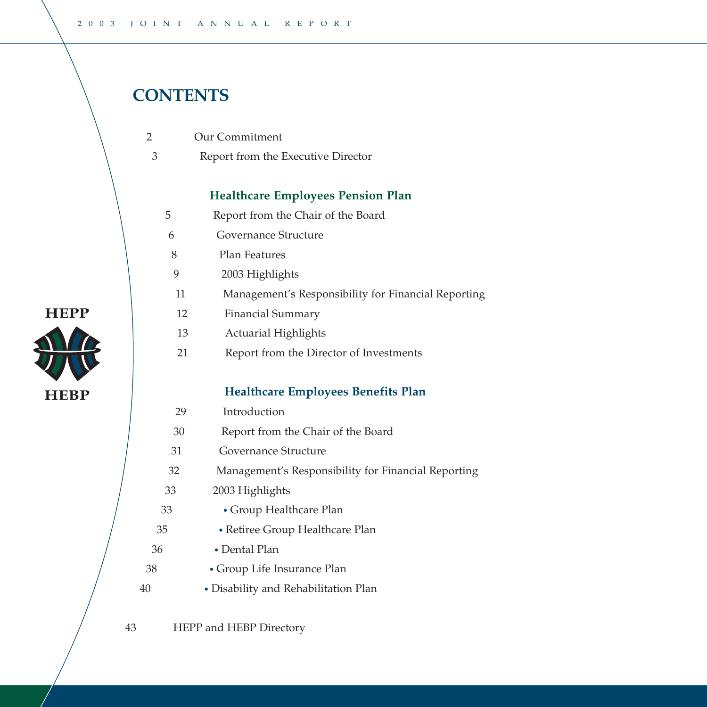# **CONTENTS**

2

**HEPP** 

**HEBP** 

- Our Commitment
- Report from the Executive Director 3

#### **Healthcare Employees Pension Plan**

- Report from the Chair of the Board 5
- Governance Structure 6
- Plan Features 8
- 2003 Highlights 9
- Management's Responsibility for Financial Reporting 11
- Financial Summary 12
- Actuarial Highlights 13
- Report from the Director of Investments 21

#### **Healthcare Employees Benefits Plan**

- Introduction 29
- Report from the Chair of the Board 30
- Governance Structure 31
- Management's Responsibility for Financial Reporting 32
- 2003 Highlights 33

- Group Healthcare Plan
- Retiree Group Healthcare Plan
- Dental Plan
- Group Life Insurance Plan
- Disability and Rehabilitation Plan

HEPP and HEBP Directory 43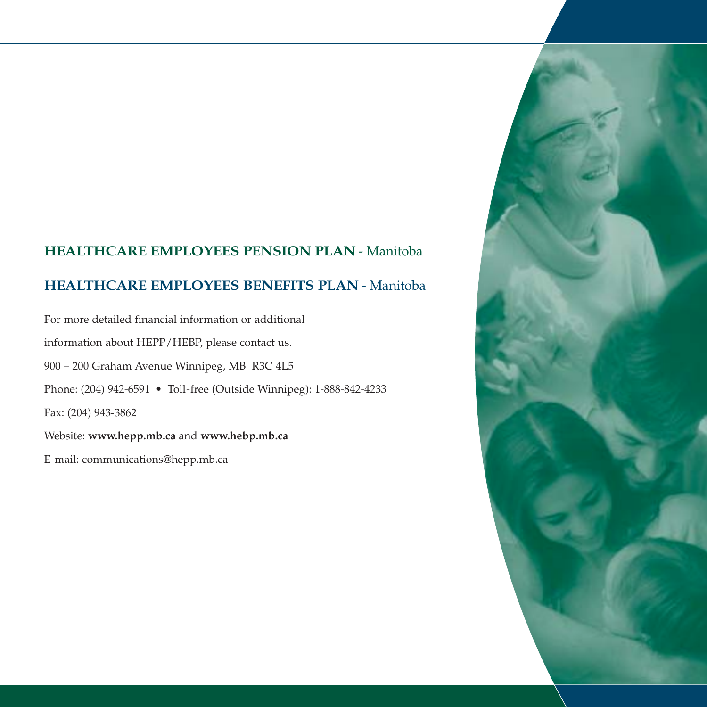### **HEALTHCARE EMPLOYEES PENSION PLAN** - Manitoba

### **HEALTHCARE EMPLOYEES BENEFITS PLAN** - Manitoba

For more detailed financial information or additional information about HEPP/HEBP, please contact us. 900 – 200 Graham Avenue Winnipeg, MB R3C 4L5 Phone: (204) 942-6591 • Toll-free (Outside Winnipeg): 1-888-842-4233 Fax: (204) 943-3862 Website: **www.hepp.mb.ca** and **www.hebp.mb.ca**

E-mail: communications@hepp.mb.ca

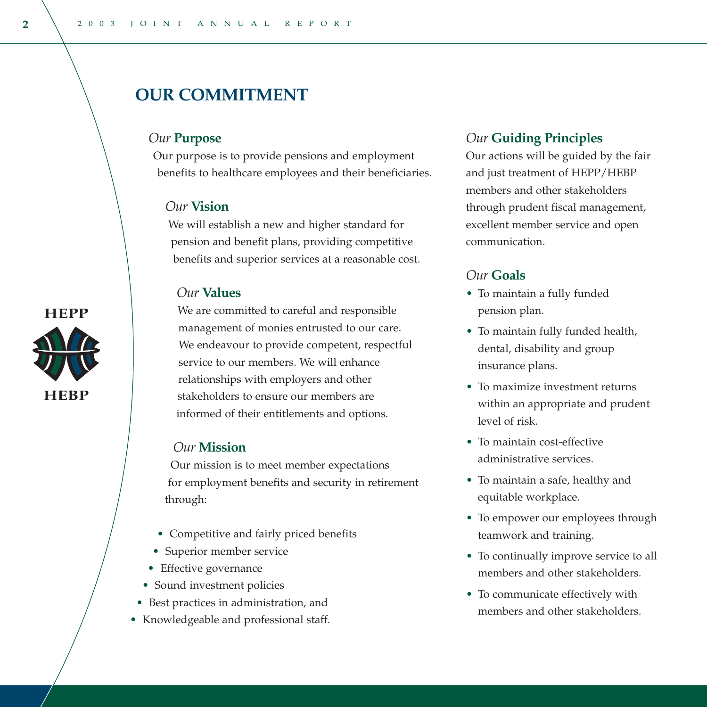# **OUR COMMITMENT**

#### *Our* **Purpose**

Our purpose is to provide pensions and employment benefits to healthcare employees and their beneficiaries.

#### *Our* **Vision**

We will establish a new and higher standard for pension and benefit plans, providing competitive benefits and superior services at a reasonable cost.

#### *Our* **Values**

We are committed to careful and responsible management of monies entrusted to our care. We endeavour to provide competent, respectful service to our members. We will enhance relationships with employers and other stakeholders to ensure our members are informed of their entitlements and options.

#### *Our* **Mission**

Our mission is to meet member expectations for employment benefits and security in retirement through:

- Competitive and fairly priced benefits
- Superior member service
- Effective governance
- Sound investment policies
- Best practices in administration, and
- Knowledgeable and professional staff.

#### *Our* **Guiding Principles**

Our actions will be guided by the fair and just treatment of HEPP/HEBP members and other stakeholders through prudent fiscal management, excellent member service and open communication.

#### *Our* **Goals**

- To maintain a fully funded pension plan.
- To maintain fully funded health, dental, disability and group insurance plans.
- To maximize investment returns within an appropriate and prudent level of risk.
- To maintain cost-effective administrative services.
- To maintain a safe, healthy and equitable workplace.
- To empower our employees through teamwork and training.
- To continually improve service to all members and other stakeholders.
- To communicate effectively with members and other stakeholders.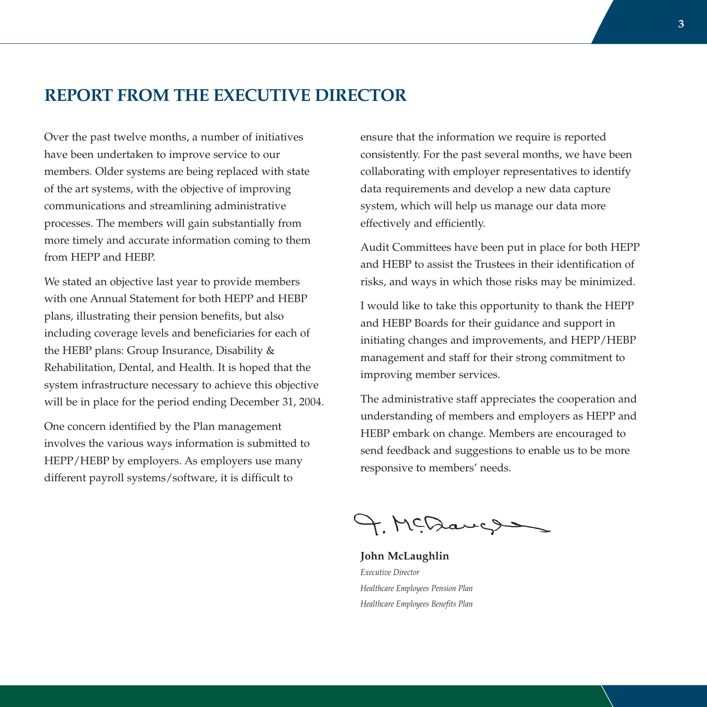# **REPORT FROM THE EXECUTIVE DIRECTOR**

Over the past twelve months, a number of initiatives have been undertaken to improve service to our members. Older systems are being replaced with state of the art systems, with the objective of improving communications and streamlining administrative processes. The members will gain substantially from more timely and accurate information coming to them from HEPP and HEBP.

We stated an objective last year to provide members with one Annual Statement for both HEPP and HEBP plans, illustrating their pension benefits, but also including coverage levels and beneficiaries for each of the HEBP plans: Group Insurance, Disability & Rehabilitation, Dental, and Health. It is hoped that the system infrastructure necessary to achieve this objective will be in place for the period ending December 31, 2004.

One concern identified by the Plan management involves the various ways information is submitted to HEPP/HEBP by employers. As employers use many different payroll systems/software, it is difficult to

ensure that the information we require is reported consistently. For the past several months, we have been collaborating with employer representatives to identify data requirements and develop a new data capture system, which will help us manage our data more effectively and efficiently.

Audit Committees have been put in place for both HEPP and HEBP to assist the Trustees in their identification of risks, and ways in which those risks may be minimized.

I would like to take this opportunity to thank the HEPP and HEBP Boards for their guidance and support in initiating changes and improvements, and HEPP/HEBP management and staff for their strong commitment to improving member services.

The administrative staff appreciates the cooperation and understanding of members and employers as HEPP and HEBP embark on change. Members are encouraged to send feedback and suggestions to enable us to be more responsive to members' needs.

4. MCDaugs

**John McLaughlin** *Executive Director Healthcare Employees Pension Plan Healthcare Employees Benefits Plan*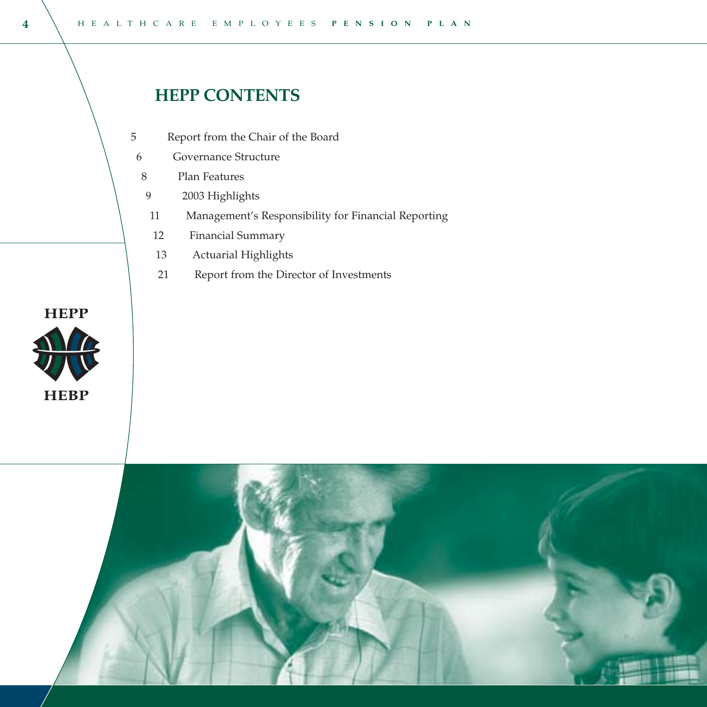# **HEPP CONTENTS**

- Report from the Chair of the Board 5
- Governance Structure 6
- Plan Features 8
- 2003 Highlights 9
- Management's Responsibility for Financial Reporting 11
- Financial Summary 12
- Actuarial Highlights 13
- Report from the Director of Investments 21



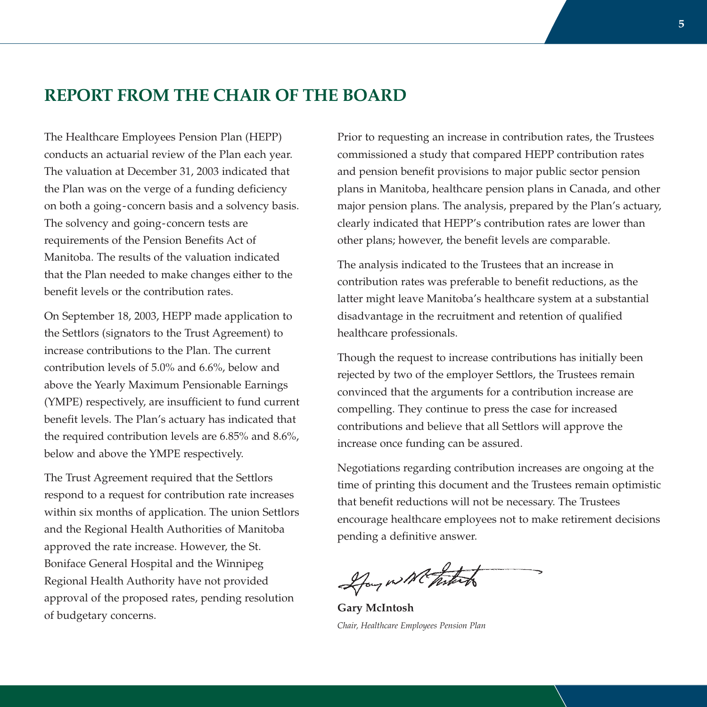# **REPORT FROM THE CHAIR OF THE BOARD**

The Healthcare Employees Pension Plan (HEPP) conducts an actuarial review of the Plan each year. The valuation at December 31, 2003 indicated that the Plan was on the verge of a funding deficiency on both a going-concern basis and a solvency basis. The solvency and going-concern tests are requirements of the Pension Benefits Act of Manitoba. The results of the valuation indicated that the Plan needed to make changes either to the benefit levels or the contribution rates.

On September 18, 2003, HEPP made application to the Settlors (signators to the Trust Agreement) to increase contributions to the Plan. The current contribution levels of 5.0% and 6.6%, below and above the Yearly Maximum Pensionable Earnings (YMPE) respectively, are insufficient to fund current benefit levels. The Plan's actuary has indicated that the required contribution levels are 6.85% and 8.6%, below and above the YMPE respectively.

The Trust Agreement required that the Settlors respond to a request for contribution rate increases within six months of application. The union Settlors and the Regional Health Authorities of Manitoba approved the rate increase. However, the St. Boniface General Hospital and the Winnipeg Regional Health Authority have not provided approval of the proposed rates, pending resolution of budgetary concerns.

Prior to requesting an increase in contribution rates, the Trustees commissioned a study that compared HEPP contribution rates and pension benefit provisions to major public sector pension plans in Manitoba, healthcare pension plans in Canada, and other major pension plans. The analysis, prepared by the Plan's actuary, clearly indicated that HEPP's contribution rates are lower than other plans; however, the benefit levels are comparable.

The analysis indicated to the Trustees that an increase in contribution rates was preferable to benefit reductions, as the latter might leave Manitoba's healthcare system at a substantial disadvantage in the recruitment and retention of qualified healthcare professionals.

Though the request to increase contributions has initially been rejected by two of the employer Settlors, the Trustees remain convinced that the arguments for a contribution increase are compelling. They continue to press the case for increased contributions and believe that all Settlors will approve the increase once funding can be assured.

Negotiations regarding contribution increases are ongoing at the time of printing this document and the Trustees remain optimistic that benefit reductions will not be necessary. The Trustees encourage healthcare employees not to make retirement decisions pending a definitive answer.

Hay will take

**Gary McIntosh** *Chair, Healthcare Employees Pension Plan*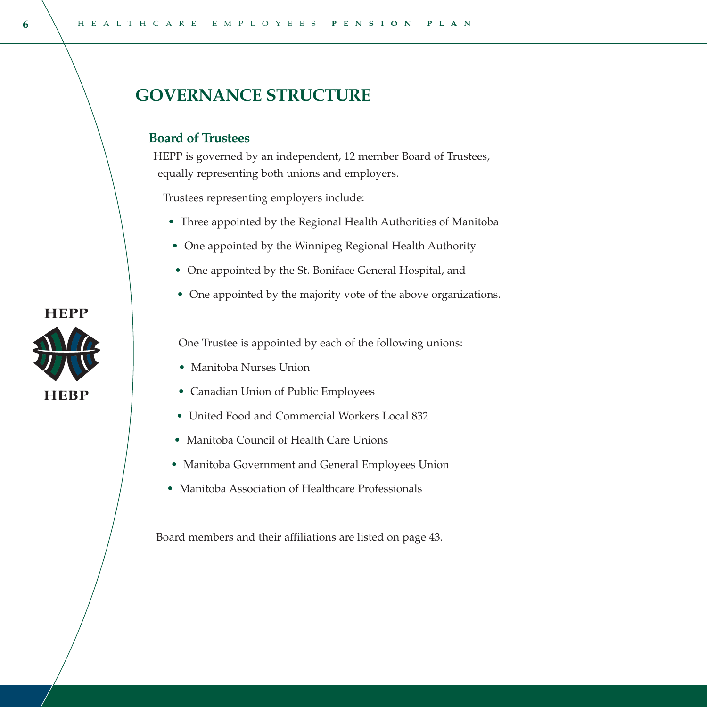# **GOVERNANCE STRUCTURE**

#### **Board of Trustees**

HEPP is governed by an independent, 12 member Board of Trustees, equally representing both unions and employers.

Trustees representing employers include:

- Three appointed by the Regional Health Authorities of Manitoba
- One appointed by the Winnipeg Regional Health Authority
- One appointed by the St. Boniface General Hospital, and
- One appointed by the majority vote of the above organizations.

One Trustee is appointed by each of the following unions:

- Manitoba Nurses Union
- Canadian Union of Public Employees
- United Food and Commercial Workers Local 832
- Manitoba Council of Health Care Unions
- Manitoba Government and General Employees Union
- Manitoba Association of Healthcare Professionals

Board members and their affiliations are listed on page 43.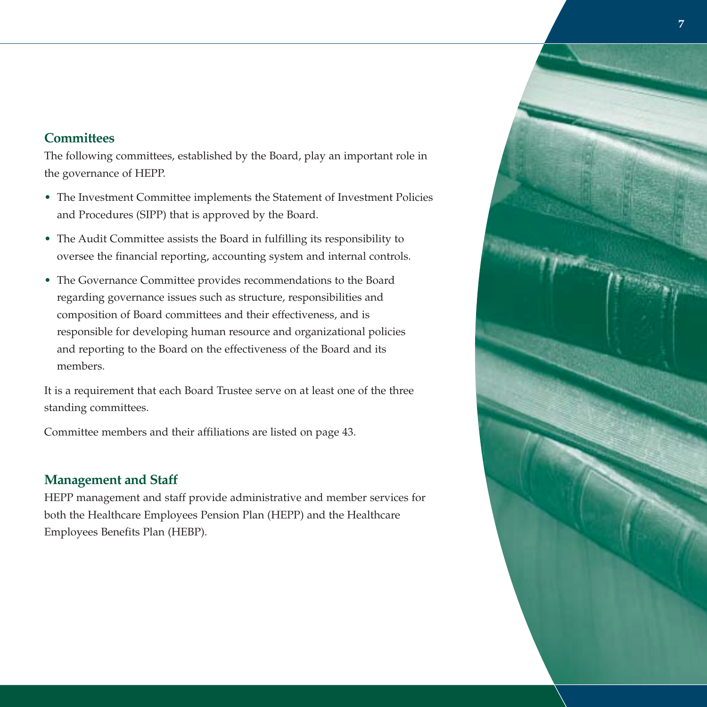#### **Committees**

The following committees, established by the Board, play an important role in the governance of HEPP.

- The Investment Committee implements the Statement of Investment Policies and Procedures (SIPP) that is approved by the Board.
- The Audit Committee assists the Board in fulfilling its responsibility to oversee the financial reporting, accounting system and internal controls.
- The Governance Committee provides recommendations to the Board regarding governance issues such as structure, responsibilities and composition of Board committees and their effectiveness, and is responsible for developing human resource and organizational policies and reporting to the Board on the effectiveness of the Board and its members.

It is a requirement that each Board Trustee serve on at least one of the three standing committees.

Committee members and their affiliations are listed on page 43.

### **Management and Staff**

HEPP management and staff provide administrative and member services for both the Healthcare Employees Pension Plan (HEPP) and the Healthcare Employees Benefits Plan (HEBP).

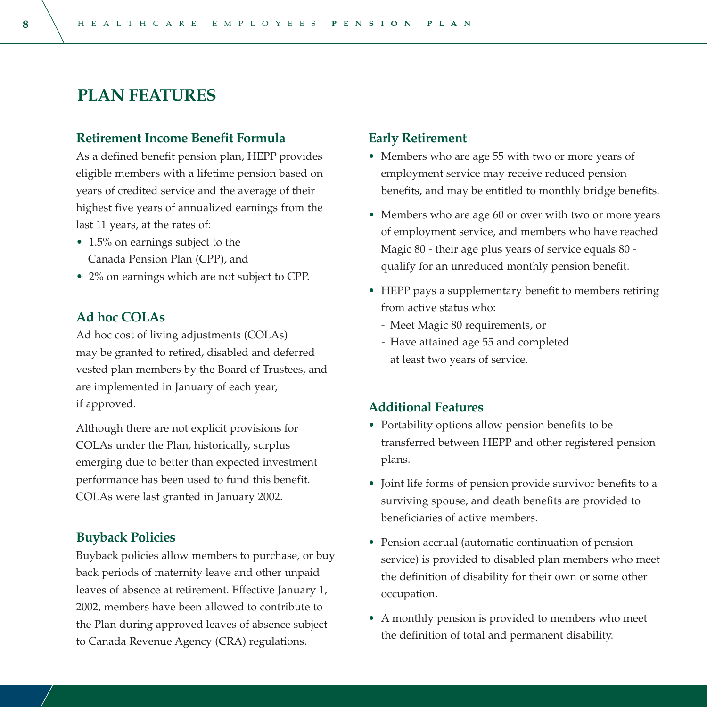# **PLAN FEATURES**

#### **Retirement Income Benefit Formula**

As a defined benefit pension plan, HEPP provides eligible members with a lifetime pension based on years of credited service and the average of their highest five years of annualized earnings from the last 11 years, at the rates of:

- 1.5% on earnings subject to the Canada Pension Plan (CPP), and
- 2% on earnings which are not subject to CPP.

#### **Ad hoc COLAs**

Ad hoc cost of living adjustments (COLAs) may be granted to retired, disabled and deferred vested plan members by the Board of Trustees, and are implemented in January of each year, if approved.

Although there are not explicit provisions for COLAs under the Plan, historically, surplus emerging due to better than expected investment performance has been used to fund this benefit. COLAs were last granted in January 2002.

#### **Buyback Policies**

Buyback policies allow members to purchase, or buy back periods of maternity leave and other unpaid leaves of absence at retirement. Effective January 1, 2002, members have been allowed to contribute to the Plan during approved leaves of absence subject to Canada Revenue Agency (CRA) regulations.

#### **Early Retirement**

- Members who are age 55 with two or more years of employment service may receive reduced pension benefits, and may be entitled to monthly bridge benefits.
- Members who are age 60 or over with two or more years of employment service, and members who have reached Magic 80 - their age plus years of service equals 80 qualify for an unreduced monthly pension benefit.
- HEPP pays a supplementary benefit to members retiring from active status who:
	- Meet Magic 80 requirements, or
	- Have attained age 55 and completed at least two years of service.

#### **Additional Features**

- Portability options allow pension benefits to be transferred between HEPP and other registered pension plans.
- Joint life forms of pension provide survivor benefits to a surviving spouse, and death benefits are provided to beneficiaries of active members.
- Pension accrual (automatic continuation of pension service) is provided to disabled plan members who meet the definition of disability for their own or some other occupation.
- <sup>A</sup> monthly pension is provided to members who meet the definition of total and permanent disability.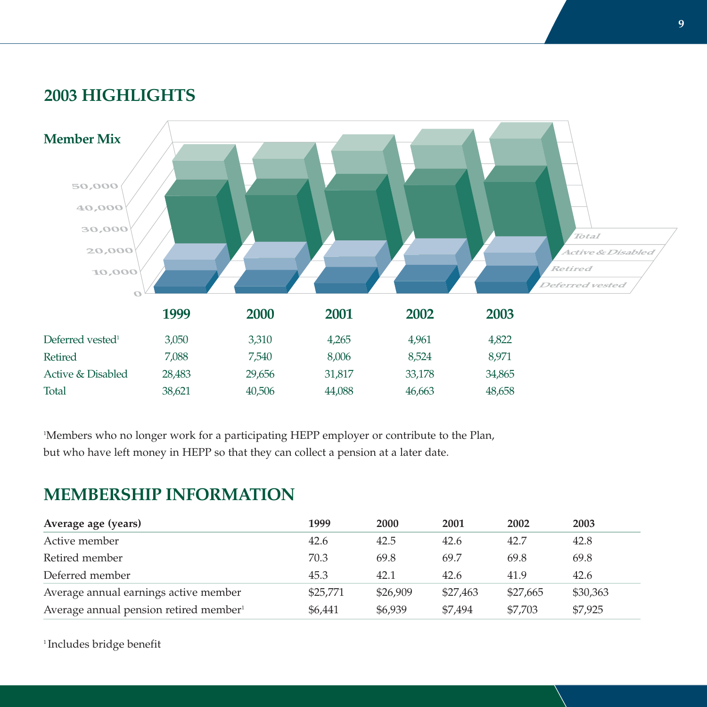# **2003 HIGHLIGHTS**



<sup>1</sup>Members who no longer work for a participating HEPP employer or contribute to the Plan, but who have left money in HEPP so that they can collect a pension at a later date.

# **MEMBERSHIP INFORMATION**

| Average age (years)                                | 1999     | 2000     | 2001     | 2002     | 2003     |
|----------------------------------------------------|----------|----------|----------|----------|----------|
| Active member                                      | 42.6     | 42.5     | 42.6     | 42.7     | 42.8     |
| Retired member                                     | 70.3     | 69.8     | 69.7     | 69.8     | 69.8     |
| Deferred member                                    | 45.3     | 42.1     | 42.6     | 41.9     | 42.6     |
| Average annual earnings active member              | \$25,771 | \$26,909 | \$27,463 | \$27,665 | \$30,363 |
| Average annual pension retired member <sup>1</sup> | \$6,441  | \$6,939  | \$7,494  | \$7,703  | \$7,925  |

<sup>1</sup> Includes bridge benefit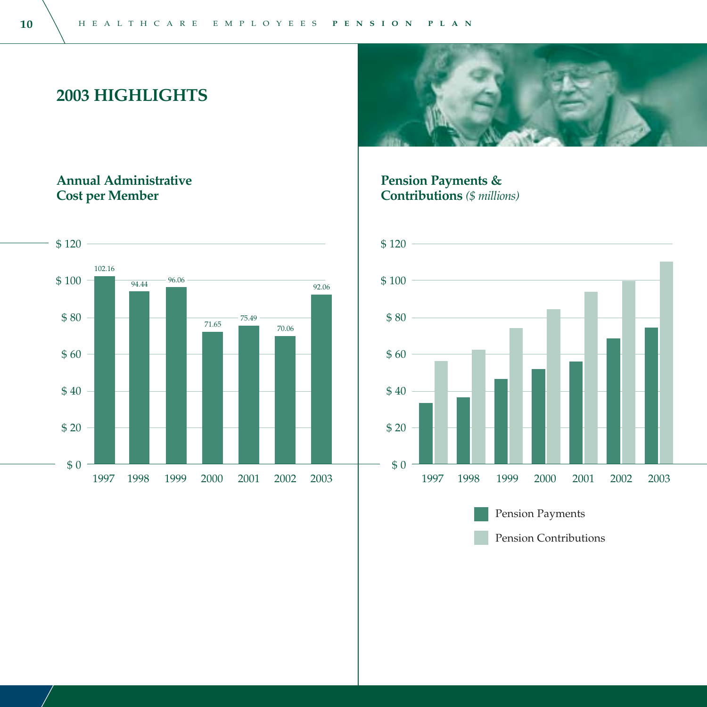**2003 HIGHLIGHTS**

### **Annual Administrative Cost per Member**



**Pension Payments & Contributions** *(\$ millions)* 



Pension Contributions

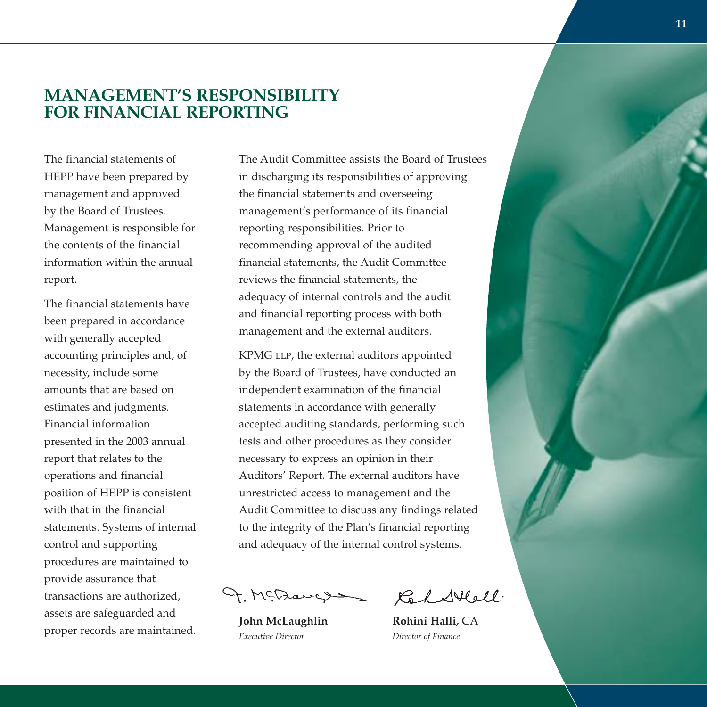# **MANAGEMENT'S RESPONSIBILITY FOR FINANCIAL REPORTING**

The financial statements of HEPP have been prepared by management and approved by the Board of Trustees. Management is responsible for the contents of the financial information within the annual report.

The financial statements have been prepared in accordance with generally accepted accounting principles and, of necessity, include some amounts that are based on estimates and judgments. Financial information presented in the 2003 annual report that relates to the operations and financial position of HEPP is consistent with that in the financial statements. Systems of internal control and supporting procedures are maintained to provide assurance that transactions are authorized, assets are safeguarded and proper records are maintained.

The Audit Committee assists the Board of Trustees in discharging its responsibilities of approving the financial statements and overseeing managemen<sup>t</sup>'s performance of its financial reporting responsibilities. Prior to recommending approval of the audited financial statements, the Audit Committee reviews the financial statements, the adequacy of internal controls and the audit and financial reporting process with both management and the external auditors.

KPMG LLP, the external auditors appointed by the Board of Trustees, have conducted an independent examination of the financial statements in accordance with generally accepted auditing standards, performing such tests and other procedures as they consider necessary to express an opinion in their Auditors' Report. The external auditors have unrestricted access to management and the Audit Committee to discuss any findings related to the integrity of the Plan's financial reporting and adequacy of the internal control systems.

9. McDaugs

*Executive Director Director of Finance*

Ked Stell.

**John McLaughlin Rohini Halli,** CA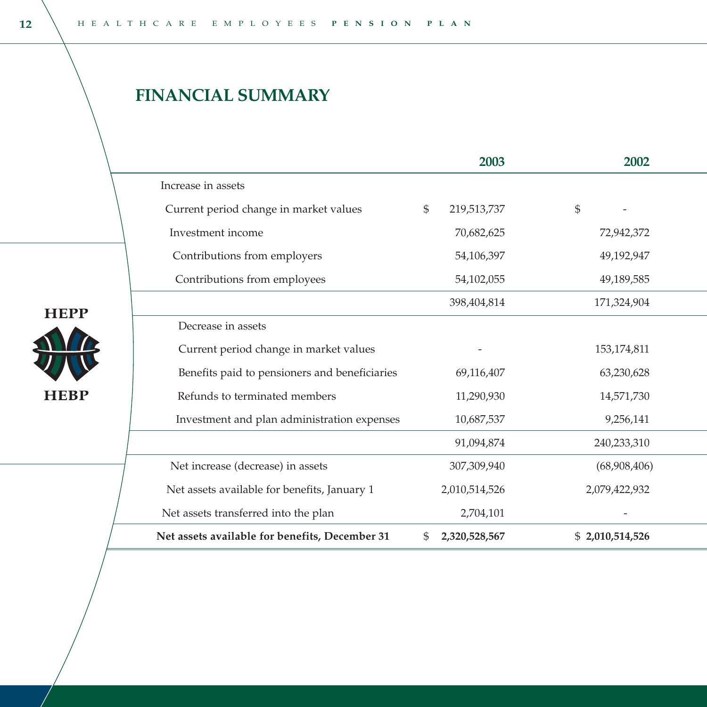# **FINANCIAL SUMMARY**

|                                                |              | 2003          | 2002            |
|------------------------------------------------|--------------|---------------|-----------------|
| Increase in assets                             |              |               |                 |
| Current period change in market values         | $\mathbb{S}$ | 219,513,737   | $\mathbb{S}$    |
| Investment income                              |              | 70,682,625    | 72,942,372      |
| Contributions from employers                   |              | 54,106,397    | 49,192,947      |
| Contributions from employees                   |              | 54,102,055    | 49,189,585      |
|                                                |              | 398,404,814   | 171,324,904     |
| Decrease in assets                             |              |               |                 |
| Current period change in market values         |              |               | 153,174,811     |
| Benefits paid to pensioners and beneficiaries  |              | 69,116,407    | 63,230,628      |
| Refunds to terminated members                  |              | 11,290,930    | 14,571,730      |
| Investment and plan administration expenses    |              | 10,687,537    | 9,256,141       |
|                                                |              | 91,094,874    | 240,233,310     |
| Net increase (decrease) in assets              |              | 307,309,940   | (68,908,406)    |
| Net assets available for benefits, January 1   |              | 2,010,514,526 | 2,079,422,932   |
| Net assets transferred into the plan           |              | 2,704,101     |                 |
| Net assets available for benefits, December 31 | \$           | 2,320,528,567 | \$2,010,514,526 |

**HEPP** 

**HEBP**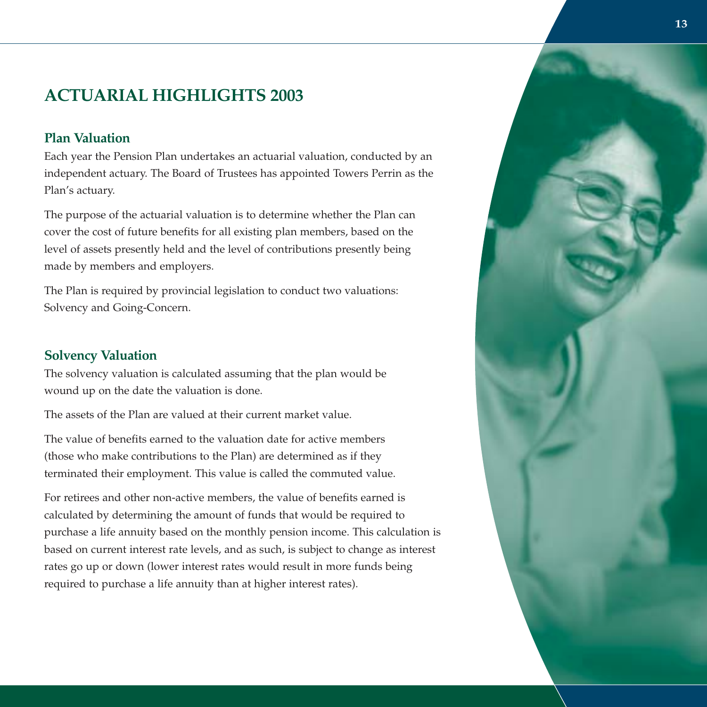# **ACTUARIAL HIGHLIGHTS 2003**

#### **Plan Valuation**

Each year the Pension Plan undertakes an actuarial valuation, conducted by an independent actuary. The Board of Trustees has appointed Towers Perrin as the Plan's actuary.

The purpose of the actuarial valuation is to determine whether the Plan can cover the cost of future benefits for all existing plan members, based on the level of assets presently held and the level of contributions presently being made by members and employers.

The Plan is required by provincial legislation to conduct two valuations: Solvency and Going-Concern.

#### **Solvency Valuation**

The solvency valuation is calculated assuming that the plan would be wound up on the date the valuation is done.

The assets of the Plan are valued at their current market value.

The value of benefits earned to the valuation date for active members (those who make contributions to the Plan) are determined as if they terminated their employment. This value is called the commuted value.

For retirees and other non-active members, the value of benefits earned is calculated by determining the amount of funds that would be required to purchase a life annuity based on the monthly pension income. This calculation is based on current interest rate levels, and as such, is subject to change as interest rates go up or down (lower interest rates would result in more funds being required to purchase a life annuity than at higher interest rates).

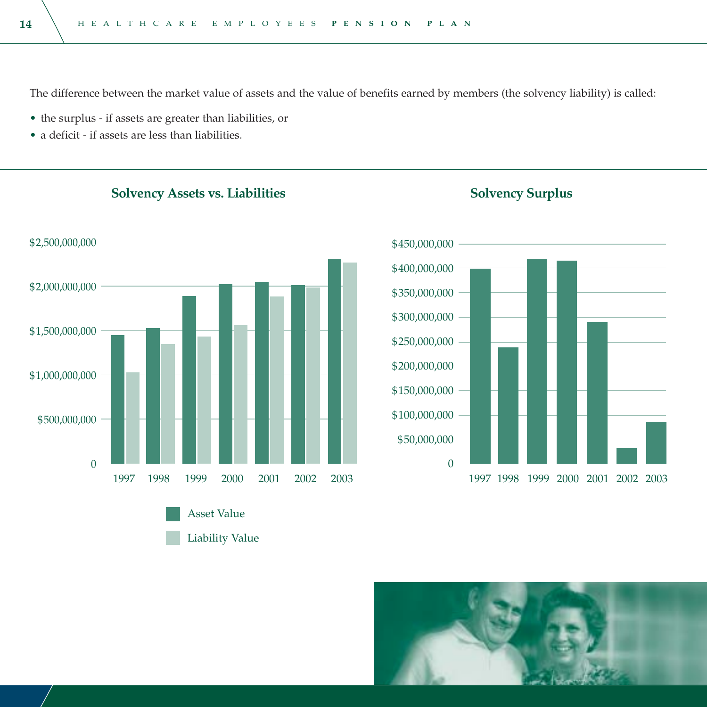The difference between the market value of assets and the value of benefits earned by members (the solvency liability) is called:

- the surplus if assets are greater than liabilities, or
- a deficit if assets are less than liabilities.

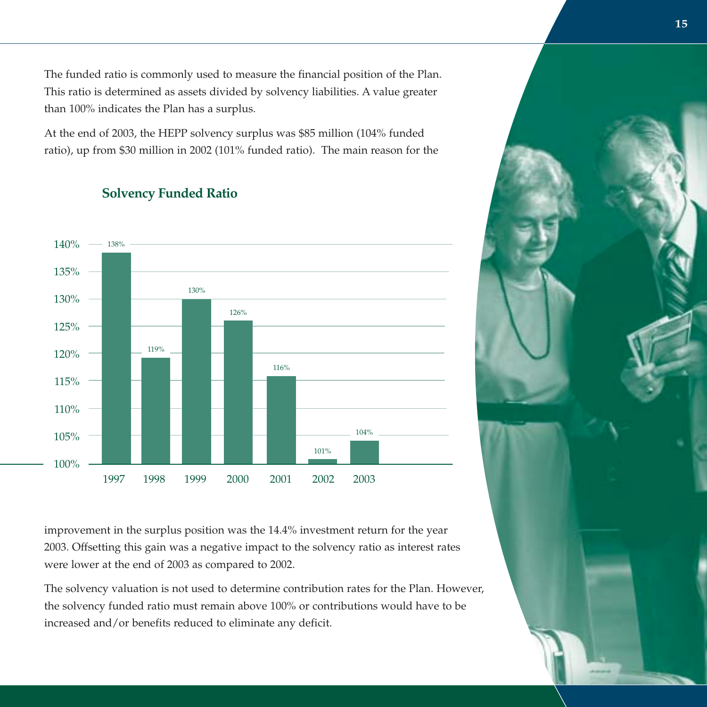The funded ratio is commonly used to measure the financial position of the Plan. This ratio is determined as assets divided by solvency liabilities. A value greater than 100% indicates the Plan has a surplus.

At the end of 2003, the HEPP solvency surplus was \$85 million (104% funded ratio), up from \$30 million in 2002 (101% funded ratio). The main reason for the

### **Solvency Funded Ratio**



improvement in the surplus position was the 14.4% investment return for the year 2003. Offsetting this gain was a negative impact to the solvency ratio as interest rates were lower at the end of 2003 as compared to 2002.

The solvency valuation is not used to determine contribution rates for the Plan. However, the solvency funded ratio must remain above 100% or contributions would have to be increased and/or benefits reduced to eliminate any deficit.

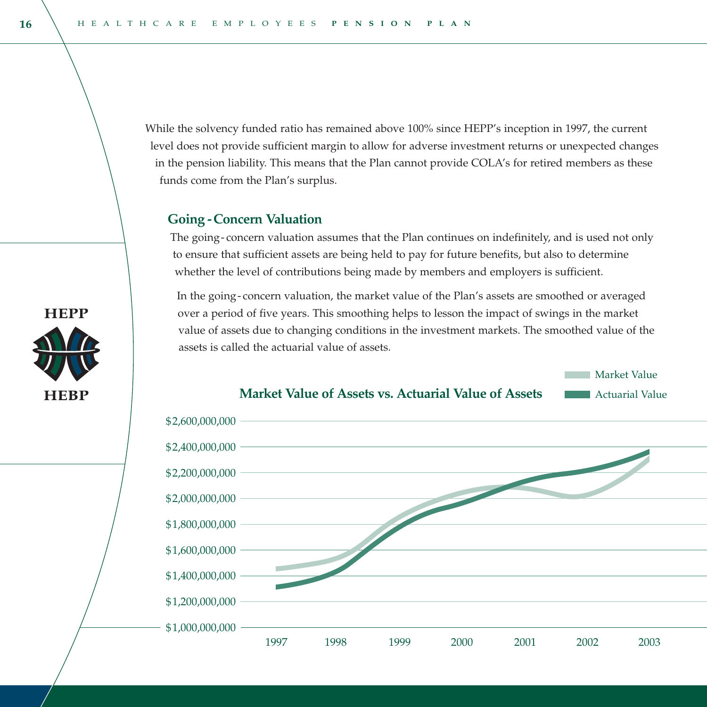While the solvency funded ratio has remained above 100% since HEPP's inception in 1997, the current level does not provide sufficient margin to allow for adverse investment returns or unexpected changes in the pension liability. This means that the Plan cannot provide COLA's for retired members as these funds come from the Plan's surplus.

#### **Going -Concern Valuation**

The going- concern valuation assumes that the Plan continues on indefinitely, and is used not only to ensure that sufficient assets are being held to pay for future benefits, but also to determine whether the level of contributions being made by members and employers is sufficient.

In the going- concern valuation, the market value of the Plan's assets are smoothed or averaged over a period of five years. This smoothing helps to lesson the impact of swings in the market value of assets due to changing conditions in the investment markets. The smoothed value of the assets is called the actuarial value of assets.

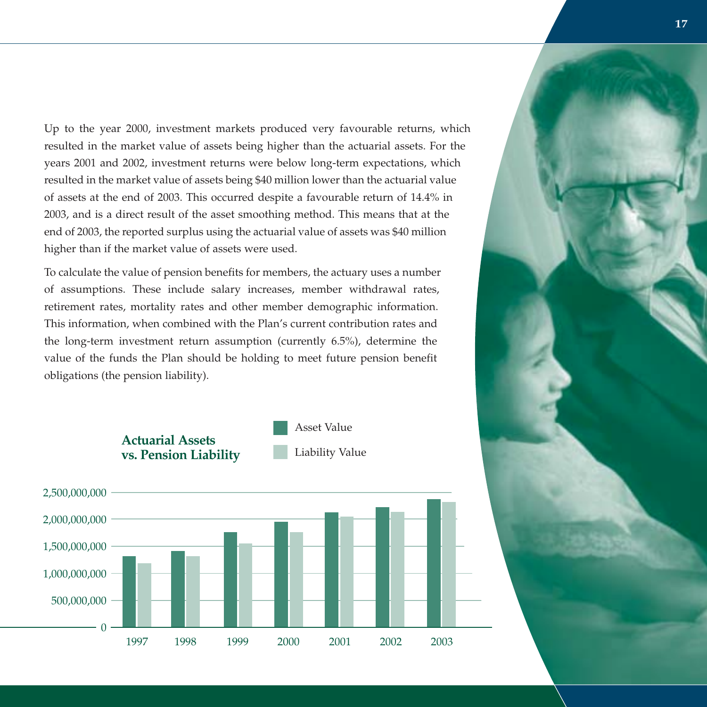Up to the year 2000, investment markets produced very favourable returns, which resulted in the market value of assets being higher than the actuarial assets. For the years 2001 and 2002, investment returns were below long-term expectations, which resulted in the market value of assets being \$40 million lower than the actuarial value of assets at the end of 2003. This occurred despite a favourable return of 14.4% in 2003, and is a direct result of the asset smoothing method. This means that at the end of 2003, the reported surplus using the actuarial value of assets was \$40 million higher than if the market value of assets were used.

To calculate the value of pension benefits for members, the actuary uses a number of assumptions. These include salary increases, member withdrawal rates, retirement rates, mortality rates and other member demographic information. This information, when combined with the Plan's current contribution rates and the long-term investment return assumption (currently 6.5%), determine the value of the funds the Plan should be holding to meet future pension benefit obligations (the pension liability).



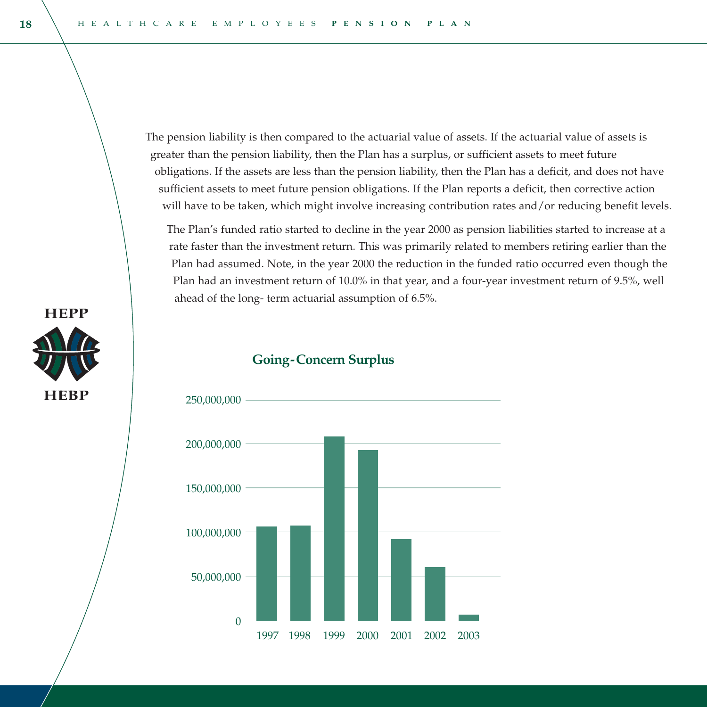The pension liability is then compared to the actuarial value of assets. If the actuarial value of assets is greater than the pension liability, then the Plan has a surplus, or sufficient assets to meet future obligations. If the assets are less than the pension liability, then the Plan has a deficit, and does not have sufficient assets to meet future pension obligations. If the Plan reports a deficit, then corrective action will have to be taken, which might involve increasing contribution rates and/or reducing benefit levels.

The Plan's funded ratio started to decline in the year 2000 as pension liabilities started to increase at a rate faster than the investment return. This was primarily related to members retiring earlier than the Plan had assumed. Note, in the year 2000 the reduction in the funded ratio occurred even though the Plan had an investment return of 10.0% in that year, and a four-year investment return of 9.5%, well ahead of the long- term actuarial assumption of 6.5%.

#### **Going-Concern Surplus**



**HEPP** 

**HEBP**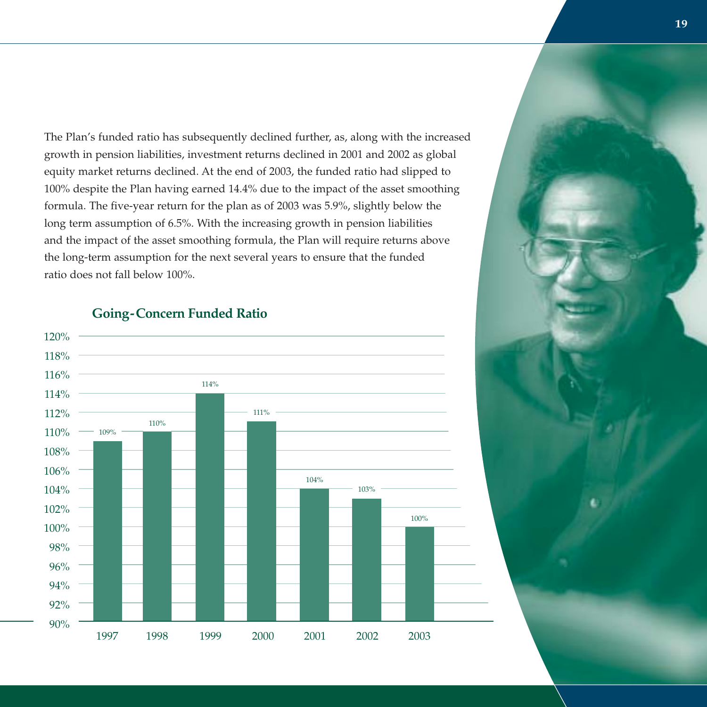The Plan's funded ratio has subsequently declined further, as, along with the increased growth in pension liabilities, investment returns declined in 2001 and 2002 as global equity market returns declined. At the end of 2003, the funded ratio had slipped to 100% despite the Plan having earned 14.4% due to the impact of the asset smoothing formula. The five-year return for the plan as of 2003 was 5.9%, slightly below the long term assumption of 6.5%. With the increasing growth in pension liabilities and the impact of the asset smoothing formula, the Plan will require returns above the long-term assumption for the next several years to ensure that the funded ratio does not fall below 100%.



#### **Going-Concern Funded Ratio**

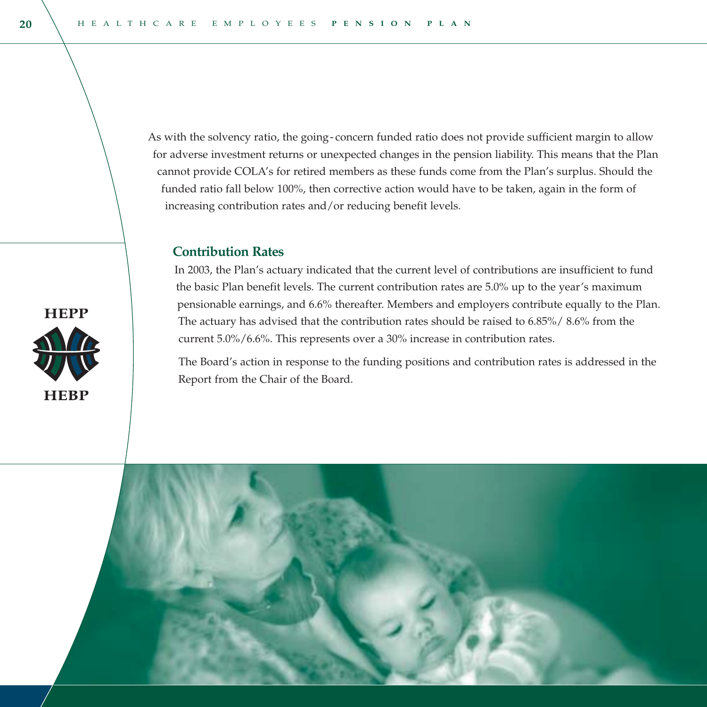As with the solvency ratio, the going- concern funded ratio does not provide sufficient margin to allow for adverse investment returns or unexpected changes in the pension liability. This means that the Plan cannot provide COLA's for retired members as these funds come from the Plan's surplus. Should the funded ratio fall below 100%, then corrective action would have to be taken, again in the form of increasing contribution rates and/or reducing benefit levels.

#### **Contribution Rates**

In 2003, the Plan's actuary indicated that the current level of contributions are insufficient to fund the basic Plan benefit levels. The current contribution rates are 5.0% up to the year's maximum pensionable earnings, and 6.6% thereafter. Members and employers contribute equally to the Plan. The actuary has advised that the contribution rates should be raised to 6.85%/ 8.6% from the current 5.0%/6.6%. This represents over a 30% increase in contribution rates.

The Board's action in response to the funding positions and contribution rates is addressed in the Report from the Chair of the Board.



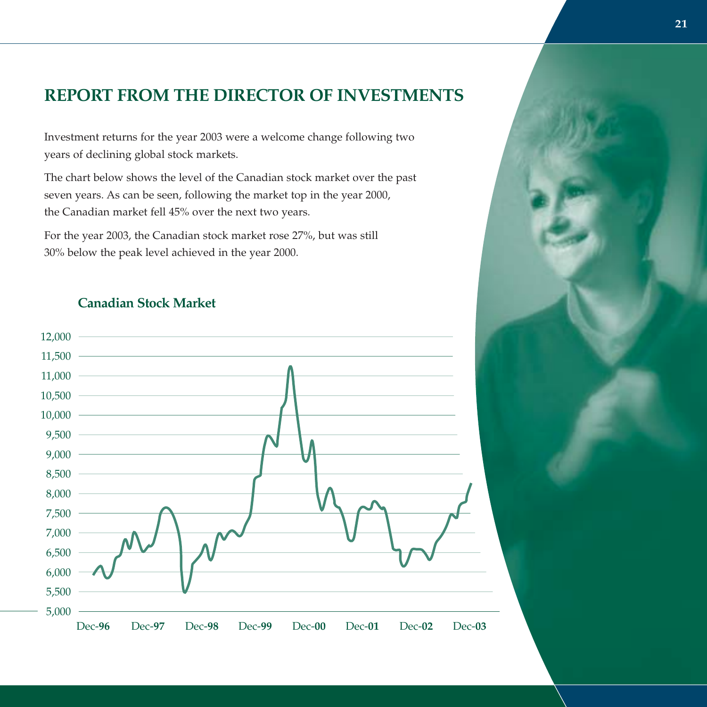# **REPORT FROM THE DIRECTOR OF INVESTMENTS**

Investment returns for the year 2003 were a welcome change following two years of declining global stock markets.

The chart below shows the level of the Canadian stock market over the past seven years. As can be seen, following the market top in the year 2000, the Canadian market fell 45% over the next two years.

For the year 2003, the Canadian stock market rose 27%, but was still 30% below the peak level achieved in the year 2000.

### **Canadian Stock Market**

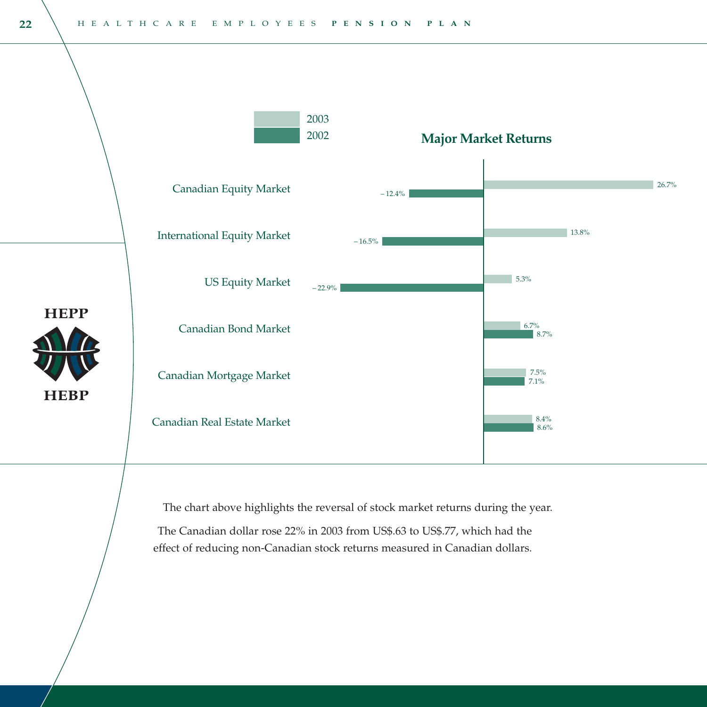

The chart above highlights the reversal of stock market returns during the year.

The Canadian dollar rose 22% in 2003 from US\$.63 to US\$.77, which had the effect of reducing non-Canadian stock returns measured in Canadian dollars.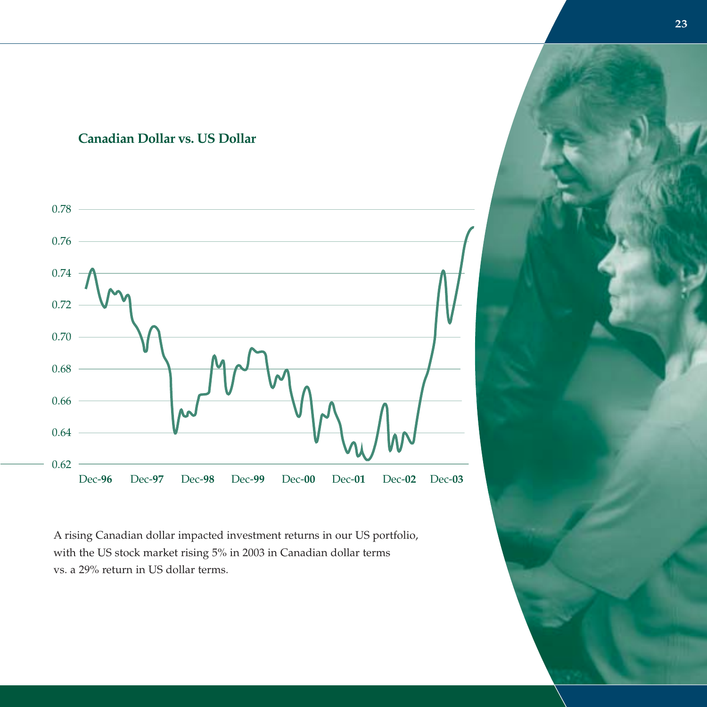### **Canadian Dollar vs. US Dollar**



<sup>A</sup> rising Canadian dollar impacted investment returns in our US portfolio, with the US stock market rising 5% in 2003 in Canadian dollar terms vs. a 29% return in US dollar terms.

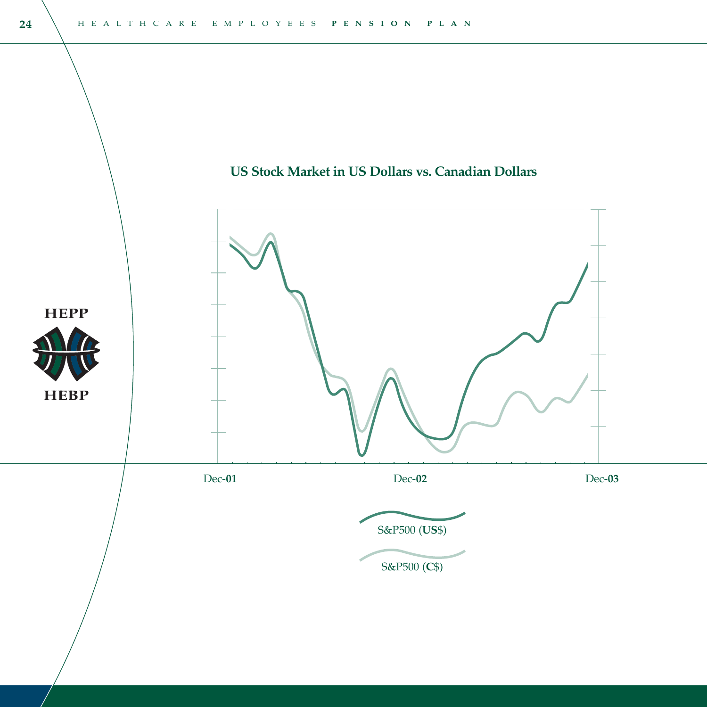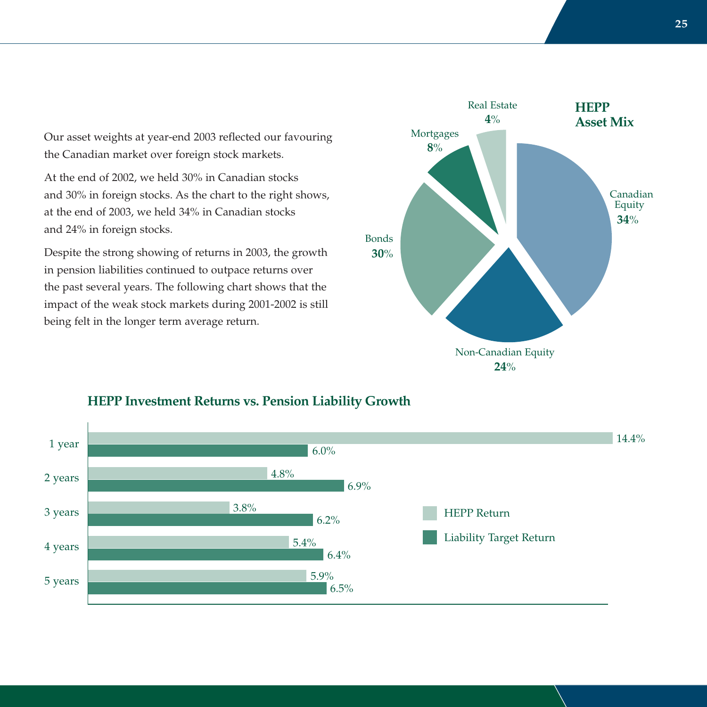Our asset weights at year-end 2003 reflected our favouring the Canadian market over foreign stock markets.

At the end of 2002, we held 30% in Canadian stocks and 30% in foreign stocks. As the chart to the right shows, at the end of 2003, we held 34% in Canadian stocks and 24% in foreign stocks.

Despite the strong showing of returns in 2003, the growth in pension liabilities continued to outpace returns over the past several years. The following chart shows that the impact of the weak stock markets during 2001-2002 is still being felt in the longer term average return.





### **HEPP Investment Returns vs. Pension Liability Growth**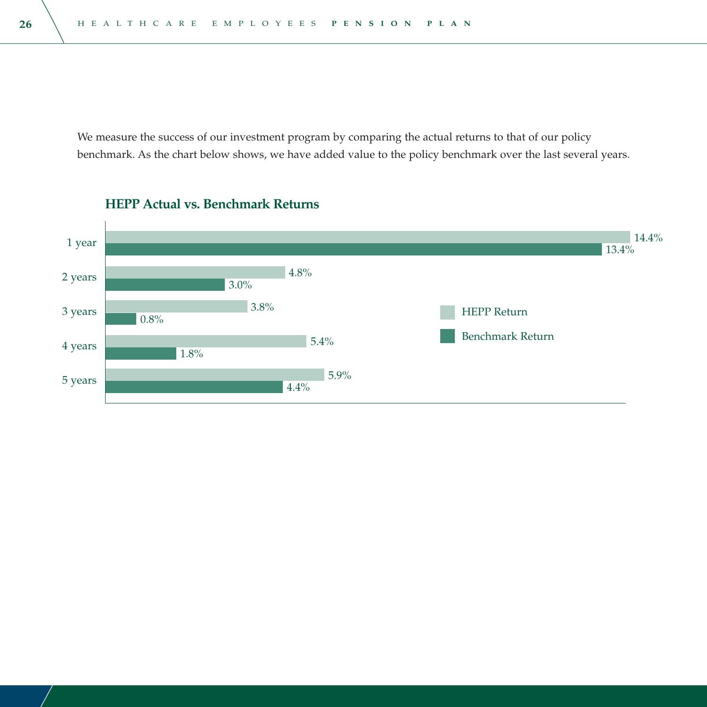We measure the success of our investment program by comparing the actual returns to that of our policy benchmark. As the chart below shows, we have added value to the policy benchmark over the last several years.



#### **HEPP Actual vs. Benchmark Returns**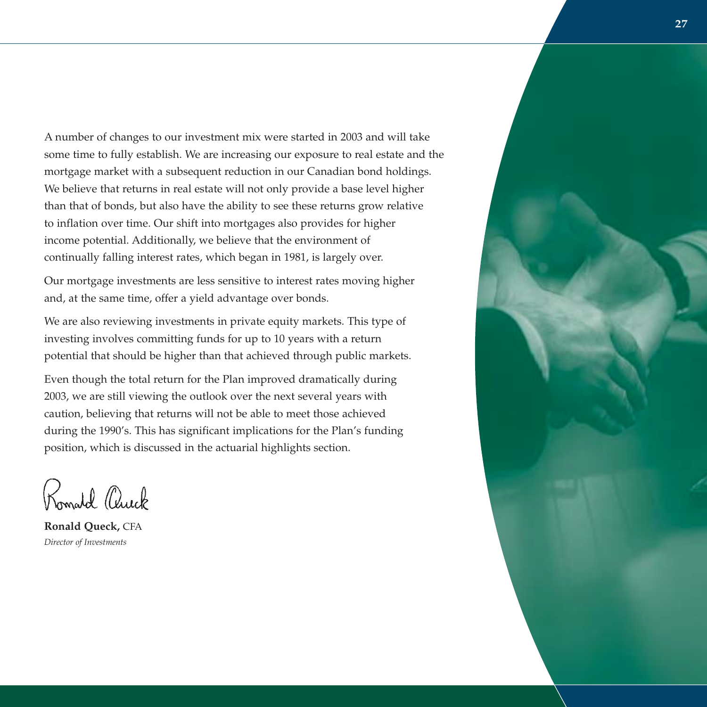<sup>A</sup> number of changes to our investment mix were started in 2003 and will take some time to fully establish. We are increasing our exposure to real estate and the mortgage market with a subsequent reduction in our Canadian bond holdings. We believe that returns in real estate will not only provide a base level higher than that of bonds, but also have the ability to see these returns grow relative to inflation over time. Our shift into mortgages also provides for higher income potential. Additionally, we believe that the environment of continually falling interest rates, which began in 1981, is largely over.

Our mortgage investments are less sensitive to interest rates moving higher and, at the same time, offer a yield advantage over bonds.

We are also reviewing investments in private equity markets. This type of investing involves committing funds for up to 10 years with a return potential that should be higher than that achieved through public markets.

Even though the total return for the Plan improved dramatically during 2003, we are still viewing the outlook over the next several years with caution, believing that returns will not be able to meet those achieved during the 1990's. This has significant implications for the Plan's funding position, which is discussed in the actuarial highlights section.

Komald Chuck

**Ronald Queck,** CFA *Director of Investments*

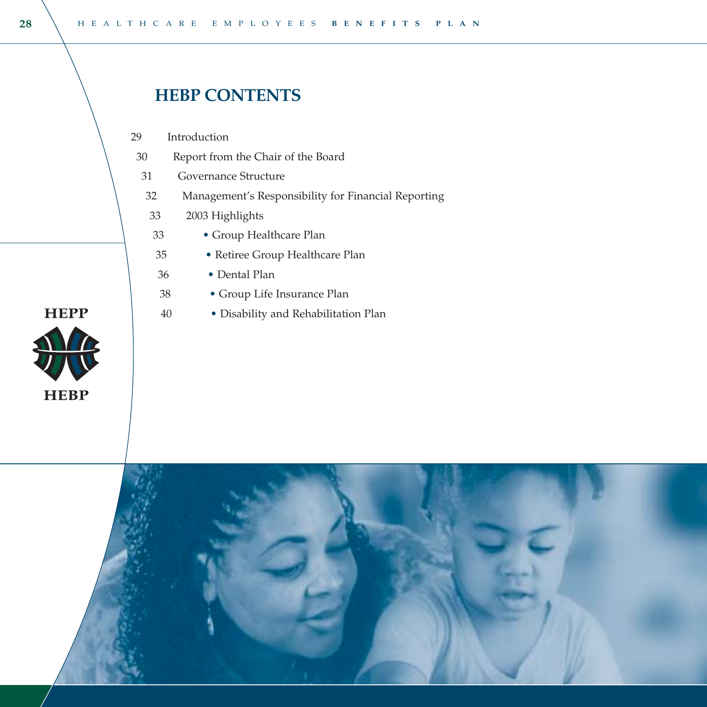# **HEBP CONTENTS**

Introduction 29

> 38 40

- Report from the Chair of the Board 30
- Governance Structure 31
- Management's Responsibility for Financial Reporting 32
- 2003 Highlights 33
- Group Healthcare Plan 33
- Retiree Group Healthcare Plan 35
- Dental Plan 36
	- Group Life Insurance Plan
	- Disability and Rehabilitation Plan



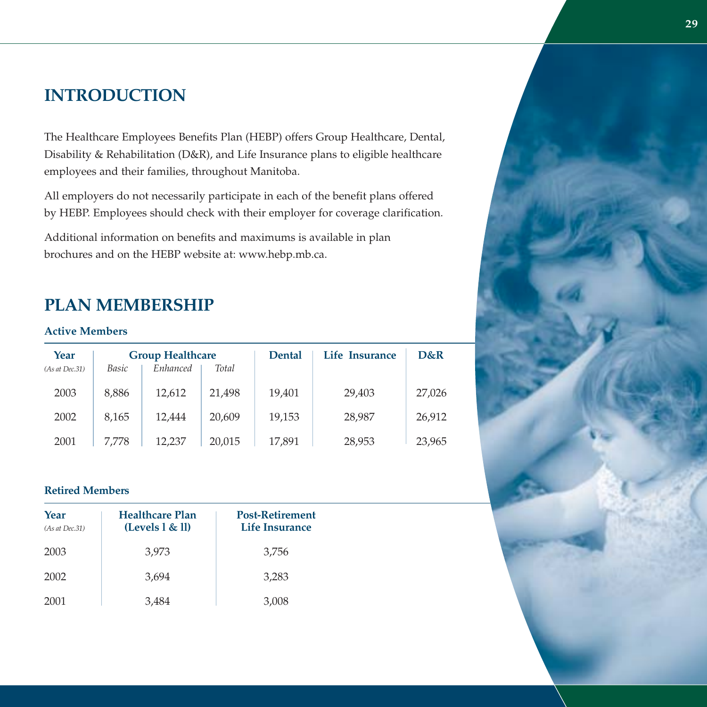# **INTRODUCTION**

The Healthcare Employees Benefits Plan (HEBP) offers Group Healthcare, Dental, Disability & Rehabilitation (D&R), and Life Insurance plans to eligible healthcare employees and their families, throughout Manitoba.

All employers do not necessarily participate in each of the benefit plans offered by HEBP. Employees should check with their employer for coverage clarification.

Additional information on benefits and maximums is available in plan brochures and on the HEBP website at: www.hebp.mb.ca.

# **PLAN MEMBERSHIP**

#### **Active Members**

| Year<br>(As at Dec.31) | Basic | <b>Group Healthcare</b><br>Enhanced | Total  | <b>Dental</b> | Life Insurance | D&R    |
|------------------------|-------|-------------------------------------|--------|---------------|----------------|--------|
| 2003                   | 8,886 | 12,612                              | 21,498 | 19,401        | 29,403         | 27,026 |
| 2002                   | 8.165 | 12.444                              | 20,609 | 19,153        | 28,987         | 26,912 |
| 2001                   | 7.778 | 12.237                              | 20,015 | 17,891        | 28,953         | 23,965 |

#### **Retired Members**

| Year<br>(As at Dec.31) | <b>Healthcare Plan</b><br>(Levels 1 & 1) | <b>Post-Retirement</b><br>Life Insurance |
|------------------------|------------------------------------------|------------------------------------------|
| 2003                   | 3,973                                    | 3,756                                    |
| 2002                   | 3,694                                    | 3,283                                    |
| 2001                   | 3,484                                    | 3,008                                    |

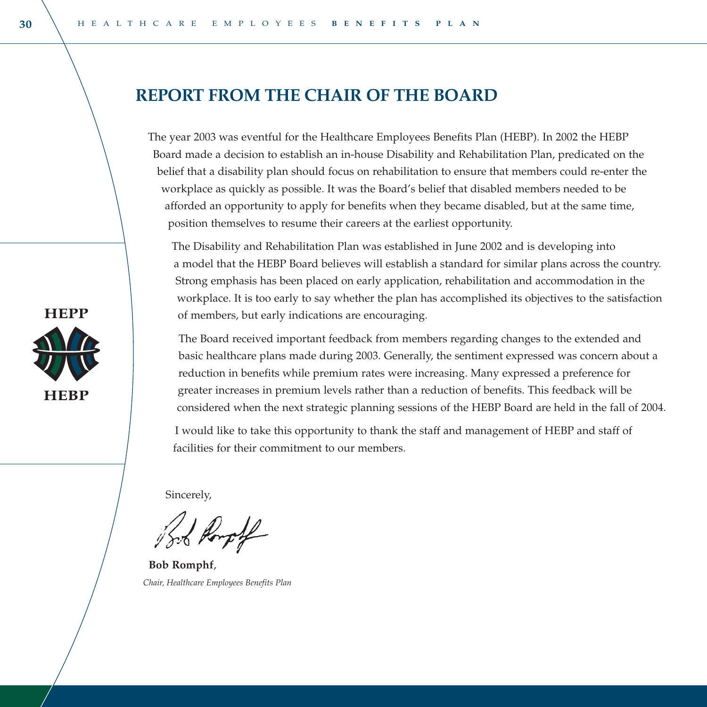# **REPORT FROM THE CHAIR OF THE BOARD**

The year 2003 was eventful for the Healthcare Employees Benefits Plan (HEBP). In 2002 the HEBP Board made a decision to establish an in-house Disability and Rehabilitation Plan, predicated on the belief that a disability plan should focus on rehabilitation to ensure that members could re-enter the workplace as quickly as possible. It was the Board's belief that disabled members needed to be afforded an opportunity to apply for benefits when they became disabled, but at the same time, position themselves to resume their careers at the earliest opportunity.

The Disability and Rehabilitation Plan was established in June 2002 and is developing into a model that the HEBP Board believes will establish a standard for similar plans across the country. Strong emphasis has been placed on early application, rehabilitation and accommodation in the workplace. It is too early to say whether the plan has accomplished its objectives to the satisfaction of members, but early indications are encouraging.

The Board received important feedback from members regarding changes to the extended and basic healthcare plans made during 2003. Generally, the sentiment expressed was concern about a reduction in benefits while premium rates were increasing. Many expressed a preference for greater increases in premium levels rather than a reduction of benefits. This feedback will be considered when the next strategic planning sessions of the HEBP Board are held in the fall of 2004.

I would like to take this opportunity to thank the staff and management of HEBP and staff of facilities for their commitment to our members.

Sincerely,

**Bob Romphf**, *Chair, Healthcare Employees Benefits Plan*

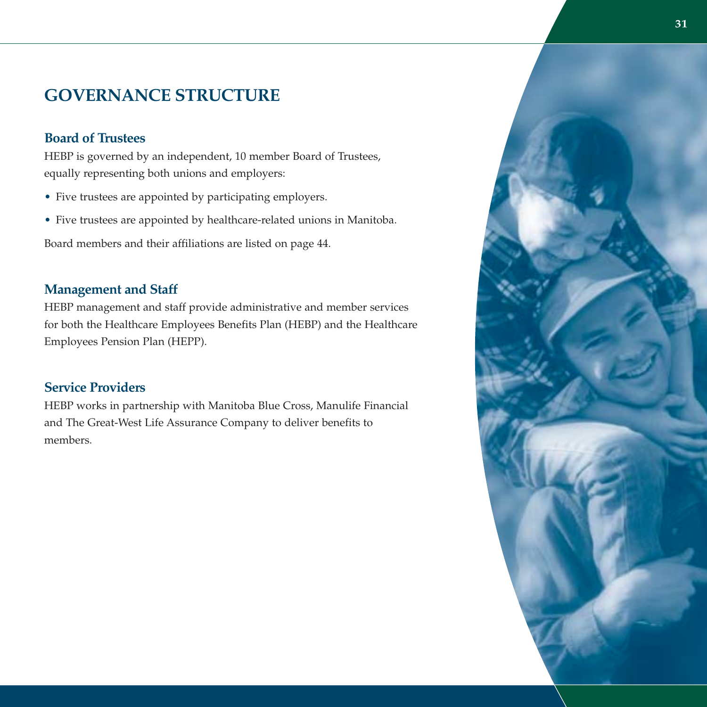# **GOVERNANCE STRUCTURE**

#### **Board of Trustees**

HEBP is governed by an independent, 10 member Board of Trustees, equally representing both unions and employers:

- Five trustees are appointed by participating employers.
- Five trustees are appointed by healthcare-related unions in Manitoba.

Board members and their affiliations are listed on page 44.

### **Management and Staff**

HEBP management and staff provide administrative and member services for both the Healthcare Employees Benefits Plan (HEBP) and the Healthcare Employees Pension Plan (HEPP).

### **Service Providers**

HEBP works in partnership with Manitoba Blue Cross, Manulife Financial and The Great-West Life Assurance Company to deliver benefits to members.

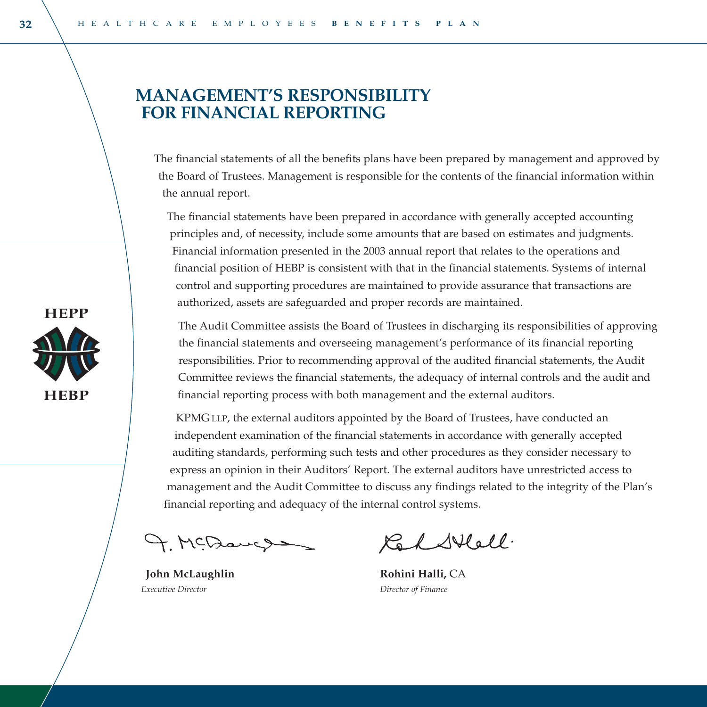# **MANAGEMENT'S RESPONSIBILITY FOR FINANCIAL REPORTING**

The financial statements of all the benefits plans have been prepared by management and approved by the Board of Trustees. Management is responsible for the contents of the financial information within the annual report.

The financial statements have been prepared in accordance with generally accepted accounting principles and, of necessity, include some amounts that are based on estimates and judgments. Financial information presented in the 2003 annual report that relates to the operations and financial position of HEBP is consistent with that in the financial statements. Systems of internal control and supporting procedures are maintained to provide assurance that transactions are authorized, assets are safeguarded and proper records are maintained.

The Audit Committee assists the Board of Trustees in discharging its responsibilities of approving the financial statements and overseeing management's performance of its financial reporting responsibilities. Prior to recommending approval of the audited financial statements, the Audit Committee reviews the financial statements, the adequacy of internal controls and the audit and financial reporting process with both management and the external auditors.

KPMG LLP, the external auditors appointed by the Board of Trustees, have conducted an independent examination of the financial statements in accordance with generally accepted auditing standards, performing such tests and other procedures as they consider necessary to express an opinion in their Auditors' Report. The external auditors have unrestricted access to management and the Audit Committee to discuss any findings related to the integrity of the Plan's financial reporting and adequacy of the internal control systems.

9. MCDaugus

**John McLaughlin Rohini Halli,** CA *Executive Director Director of Finance*

Kar Stell.

**HEPP** 

**HEBP**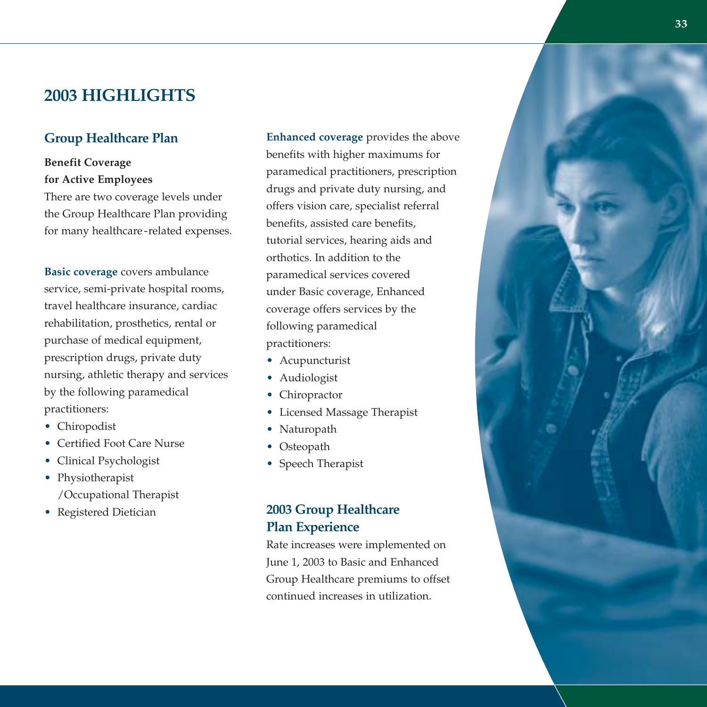# **2003 HIGHLIGHTS**

### **Group Healthcare Plan**

### **Benefit Coverage for Active Employees**

There are two coverage levels under the Group Healthcare Plan providing for many healthcare-related expenses.

**Basic coverage** covers ambulance service, semi-private hospital rooms, travel healthcare insurance, cardiac rehabilitation, prosthetics, rental or purchase of medical equipment, prescription drugs, private duty nursing, athletic therapy and services by the following paramedical practitioners:

- Chiropodist
- Certified Foot Care Nurse
- Clinical Psychologist
- Physiotherapist /Occupational Therapist
- Registered Dietician

**Enhanced coverage** provides the above benefits with higher maximums for paramedical practitioners, prescription drugs and private duty nursing, and offers vision care, specialist referral benefits, assisted care benefits, tutorial services, hearing aids and orthotics. In addition to the paramedical services covered under Basic coverage, Enhanced coverage offers services by the following paramedical practitioners:

- Acupuncturist
- Audiologist
- Chiropractor
- Licensed Massage Therapist
- Naturopath
- Osteopath
- Speech Therapist

### **2003 Group Healthcare Plan Experience**

Rate increases were implemented on June 1, 2003 to Basic and Enhanced Group Healthcare premiums to offset continued increases in utilization.

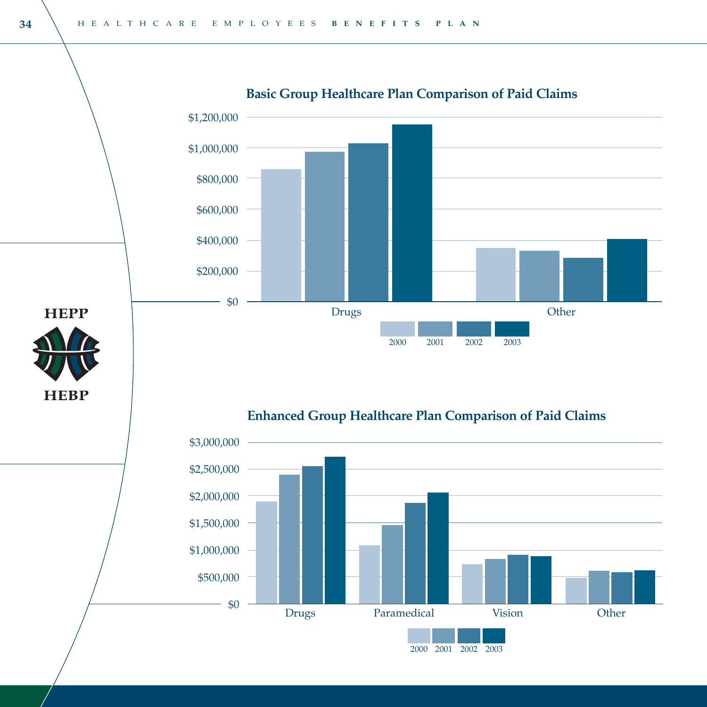

### **Basic Group Healthcare Plan Comparison of Paid Claims**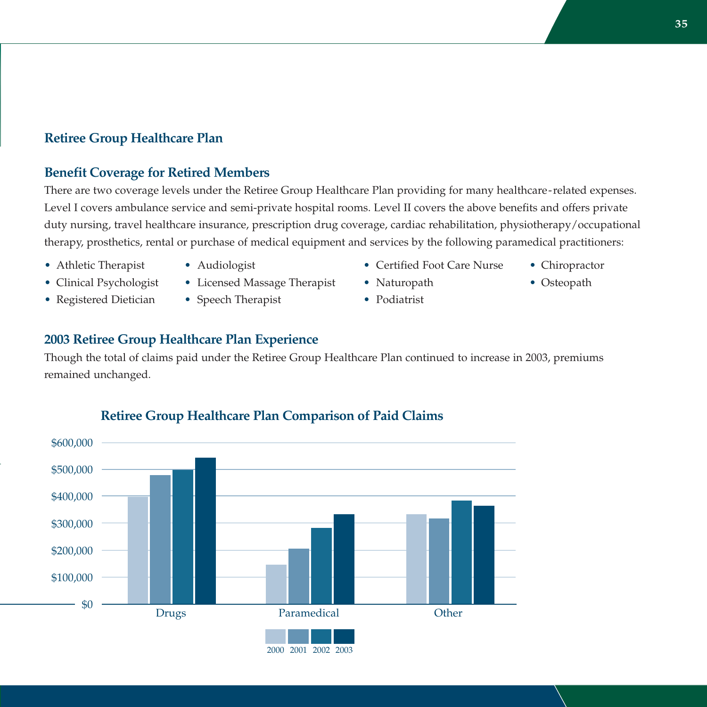### **Retiree Group Healthcare Plan**

#### **Benefit Coverage for Retired Members**

There are two coverage levels under the Retiree Group Healthcare Plan providing for many healthcare-related expenses. Level I covers ambulance service and semi-private hospital rooms. Level II covers the above benefits and offers private duty nursing, travel healthcare insurance, prescription drug coverage, cardiac rehabilitation, physiotherapy/occupational therapy, prosthetics, rental or purchase of medical equipment and services by the following paramedical practitioners:

- 
- Clinical Psychologist Licensed Massage Therapist Naturopath Osteopath
- Registered Dietician Speech Therapist Podiatrist
- 
- Athletic Therapist Audiologist Certified Foot Care Nurse Chiropractor
	-
	-

### **2003 Retiree Group Healthcare Plan Experience**

Though the total of claims paid under the Retiree Group Healthcare Plan continued to increase in 2003, premiums remained unchanged.



# **Retiree Group Healthcare Plan Comparison of Paid Claims**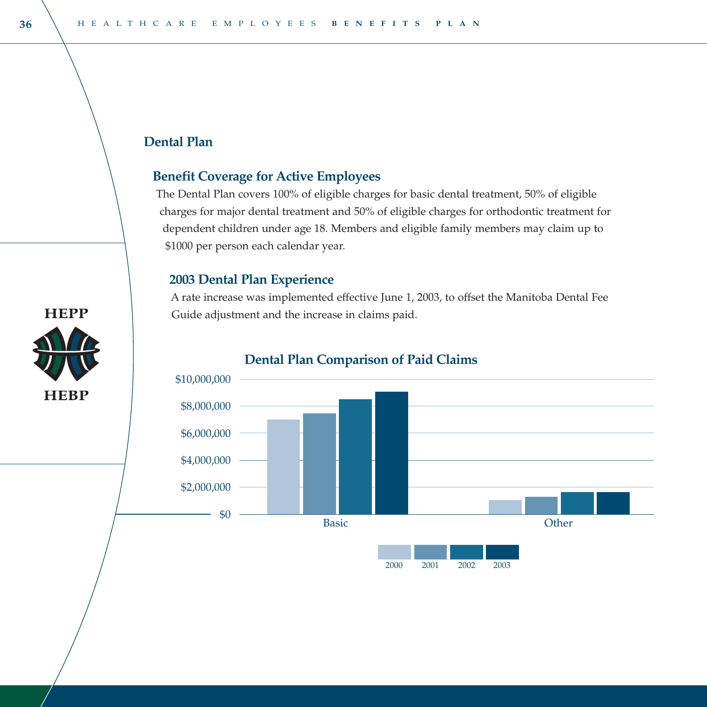### **Dental Plan**

### **Benefit Coverage for Active Employees**

The Dental Plan covers 100% of eligible charges for basic dental treatment, 50% of eligible charges for major dental treatment and 50% of eligible charges for orthodontic treatment for dependent children under age 18. Members and eligible family members may claim up to \$1000 per person each calendar year.

### **2003 Dental Plan Experience**

<sup>A</sup> rate increase was implemented effective June 1, 2003, to offset the Manitoba Dental Fee Guide adjustment and the increase in claims paid.



#### **Dental Plan Comparison of Paid Claims**

**HEPP** 

**HEBP**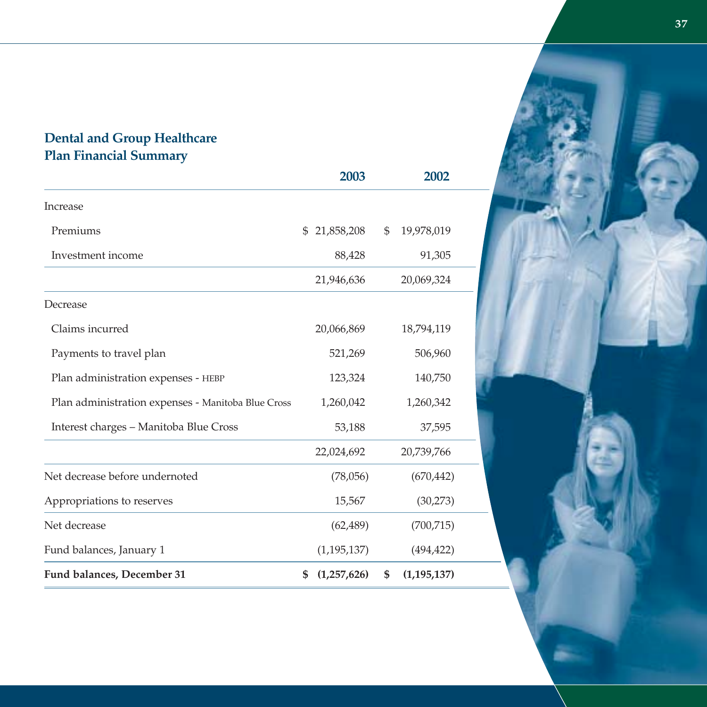### **Dental and Group Healthcare Plan Financial Summary**

|                                                    | 2003              | 2002                |  |
|----------------------------------------------------|-------------------|---------------------|--|
| Increase                                           |                   |                     |  |
| Premiums                                           | 21,858,208<br>\$  | \$<br>19,978,019    |  |
| Investment income                                  | 88,428            | 91,305              |  |
|                                                    | 21,946,636        | 20,069,324          |  |
| Decrease                                           |                   |                     |  |
| Claims incurred                                    | 20,066,869        | 18,794,119          |  |
| Payments to travel plan                            | 521,269           | 506,960             |  |
| Plan administration expenses - HEBP                | 123,324           | 140,750             |  |
| Plan administration expenses - Manitoba Blue Cross | 1,260,042         | 1,260,342           |  |
| Interest charges – Manitoba Blue Cross             | 53,188            | 37,595              |  |
|                                                    | 22,024,692        | 20,739,766          |  |
| Net decrease before undernoted                     | (78,056)          | (670, 442)          |  |
| Appropriations to reserves                         | 15,567            | (30,273)            |  |
| Net decrease                                       | (62, 489)         | (700, 715)          |  |
| Fund balances, January 1                           | (1, 195, 137)     | (494, 422)          |  |
| Fund balances, December 31                         | \$<br>(1,257,626) | \$<br>(1, 195, 137) |  |

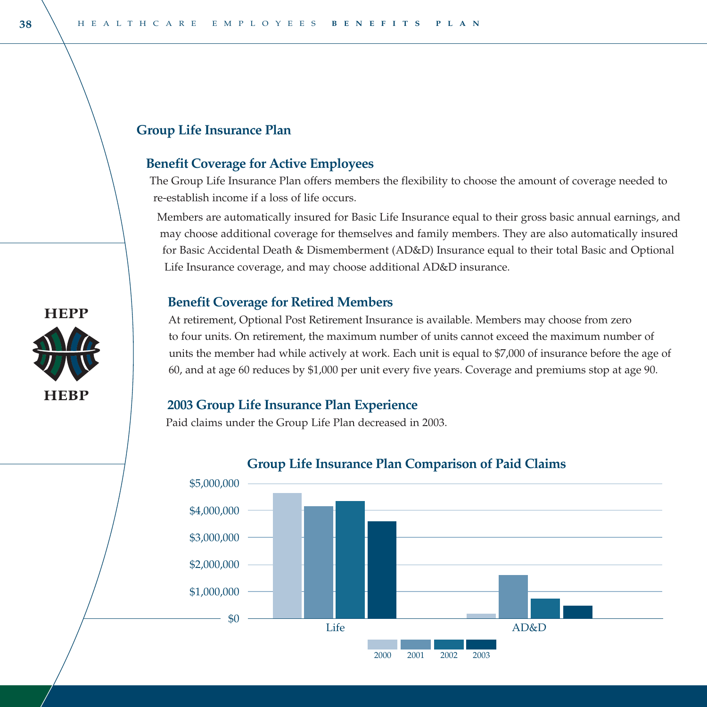#### **Group Life Insurance Plan**

#### **Benefit Coverage for Active Employees**

The Group Life Insurance Plan offers members the flexibility to choose the amount of coverage needed to re-establish income if a loss of life occurs.

Members are automatically insured for Basic Life Insurance equal to their gross basic annual earnings, and may choose additional coverage for themselves and family members. They are also automatically insured for Basic Accidental Death & Dismemberment (AD&D) Insurance equal to their total Basic and Optional Life Insurance coverage, and may choose additional AD&D insurance.

#### **Benefit Coverage for Retired Members**

At retirement, Optional Post Retirement Insurance is available. Members may choose from zero to four units. On retirement, the maximum number of units cannot exceed the maximum number of units the member had while actively at work. Each unit is equal to \$7,000 of insurance before the age of 60, and at age 60 reduces by \$1,000 per unit every five years. Coverage and premiums stop at age 90.

#### **2003 Group Life Insurance Plan Experience**

Paid claims under the Group Life Plan decreased in 2003.



#### **Group Life Insurance Plan Comparison of Paid Claims**

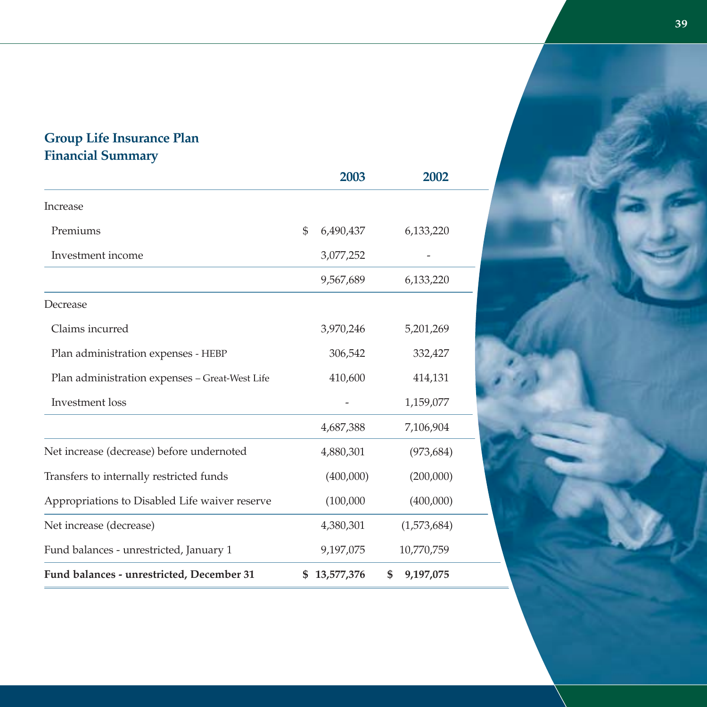### **Group Life Insurance Plan Financial Summary**

|                                                | 2003             | 2002            |
|------------------------------------------------|------------------|-----------------|
| Increase                                       |                  |                 |
| Premiums                                       | \$<br>6,490,437  | 6,133,220       |
| Investment income                              | 3,077,252        |                 |
|                                                | 9,567,689        | 6,133,220       |
| Decrease                                       |                  |                 |
| Claims incurred                                | 3,970,246        | 5,201,269       |
| Plan administration expenses - HEBP            | 306,542          | 332,427         |
| Plan administration expenses - Great-West Life | 410,600          | 414,131         |
| Investment loss                                |                  | 1,159,077       |
|                                                | 4,687,388        | 7,106,904       |
| Net increase (decrease) before undernoted      | 4,880,301        | (973, 684)      |
| Transfers to internally restricted funds       | (400,000)        | (200,000)       |
| Appropriations to Disabled Life waiver reserve | (100,000)        | (400,000)       |
| Net increase (decrease)                        | 4,380,301        | (1,573,684)     |
| Fund balances - unrestricted, January 1        | 9,197,075        | 10,770,759      |
| Fund balances - unrestricted, December 31      | \$<br>13,577,376 | \$<br>9,197,075 |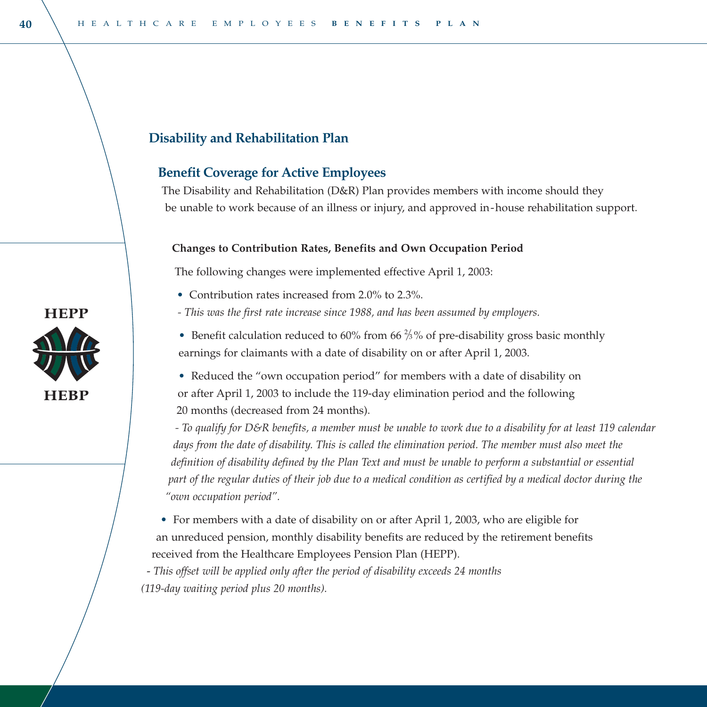#### **Disability and Rehabilitation Plan**

#### **Benefit Coverage for Active Employees**

The Disability and Rehabilitation (D&R) Plan provides members with income should they be unable to work because of an illness or injury, and approved in-house rehabilitation support.

#### **Changes to Contribution Rates, Benefits and Own Occupation Period**

The following changes were implemented effective April 1, 2003:

- Contribution rates increased from 2.0% to 2.3%.
- *This was the first rate increase since 1988, and has been assumed by employers.*
- Benefit calculation reduced to 60% from 66  $\frac{2}{3}$ % of pre-disability gross basic monthly earnings for claimants with a date of disability on or after April 1, 2003.

• Reduced the "own occupation period" for members with a date of disability on or after April 1, 2003 to include the 119-day elimination period and the following 20 months (decreased from 24 months).

*- To qualify for D&R benefits, a member must be unable to work due to a disability for at least 119 calendar days from the date of disability. This is called the elimination period. The member must also meet the definition of disability defined by the Plan Text and must be unable to perform a substantial or essential part of the regular duties of their job due to a medical condition as certified by a medical doctor during the "own occupation period".* 

• For members with a date of disability on or after April 1, 2003, who are eligible for an unreduced pension, monthly disability benefits are reduced by the retirement benefits received from the Healthcare Employees Pension Plan (HEPP).

- *This offset will be applied only after the period of disability exceeds 24 months (119-day waiting period plus 20 months).*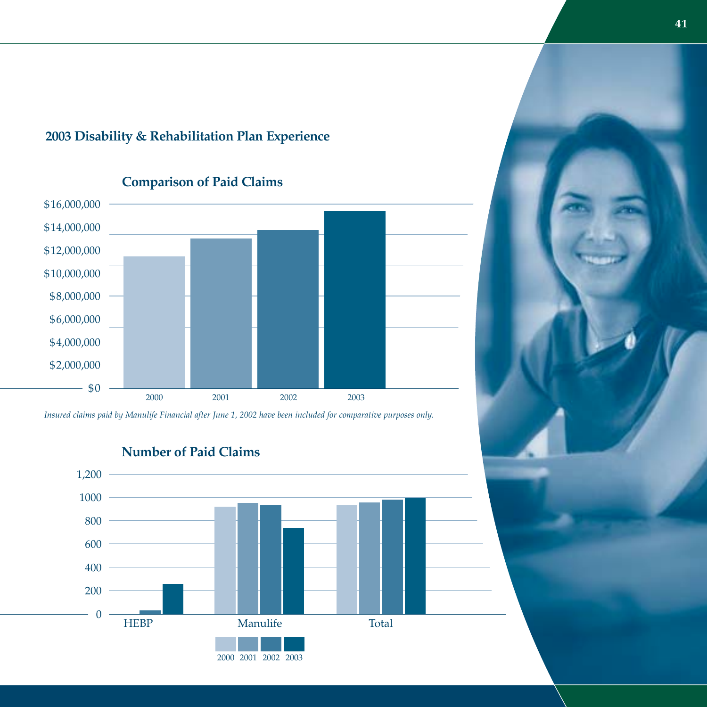### **2003 Disability & Rehabilitation Plan Experience**



*Insured claims paid by Manulife Financial after June 1, 2002 have been included for comparative purposes only.*

**Number of Paid Claims**

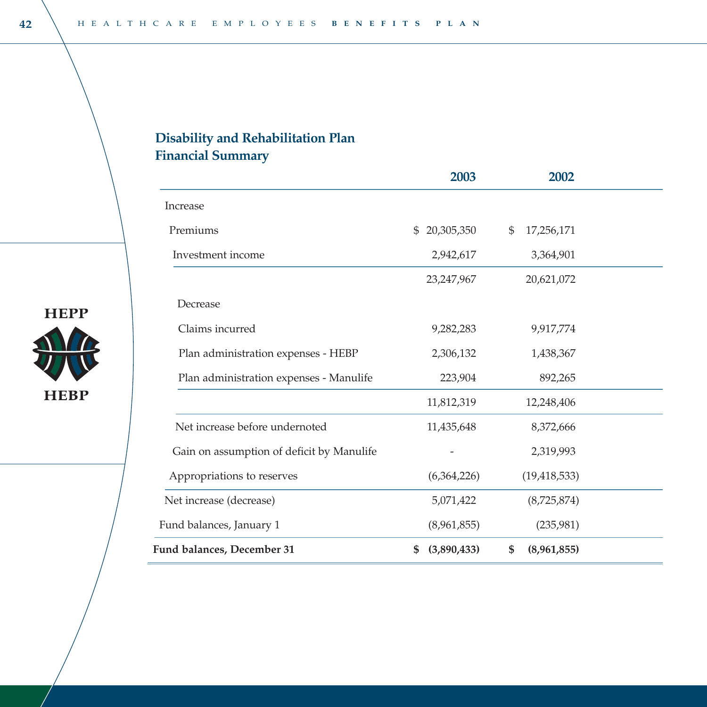# **Disability and Rehabilitation Plan Financial Summary**

|                                           | 2003              | 2002              |  |
|-------------------------------------------|-------------------|-------------------|--|
| Increase                                  |                   |                   |  |
| Premiums                                  | 20,305,350<br>\$. | 17,256,171<br>\$  |  |
| Investment income                         | 2,942,617         | 3,364,901         |  |
|                                           | 23, 247, 967      | 20,621,072        |  |
| Decrease                                  |                   |                   |  |
| Claims incurred                           | 9,282,283         | 9,917,774         |  |
| Plan administration expenses - HEBP       | 2,306,132         | 1,438,367         |  |
| Plan administration expenses - Manulife   | 223,904           | 892,265           |  |
|                                           | 11,812,319        | 12,248,406        |  |
| Net increase before undernoted            | 11,435,648        | 8,372,666         |  |
| Gain on assumption of deficit by Manulife |                   | 2,319,993         |  |
| Appropriations to reserves                | (6,364,226)       | (19, 418, 533)    |  |
| Net increase (decrease)                   | 5,071,422         | (8,725,874)       |  |
| Fund balances, January 1                  | (8,961,855)       | (235,981)         |  |
| Fund balances, December 31                | (3,890,433)<br>S  | \$<br>(8,961,855) |  |



**HEPP** 

**HEBP**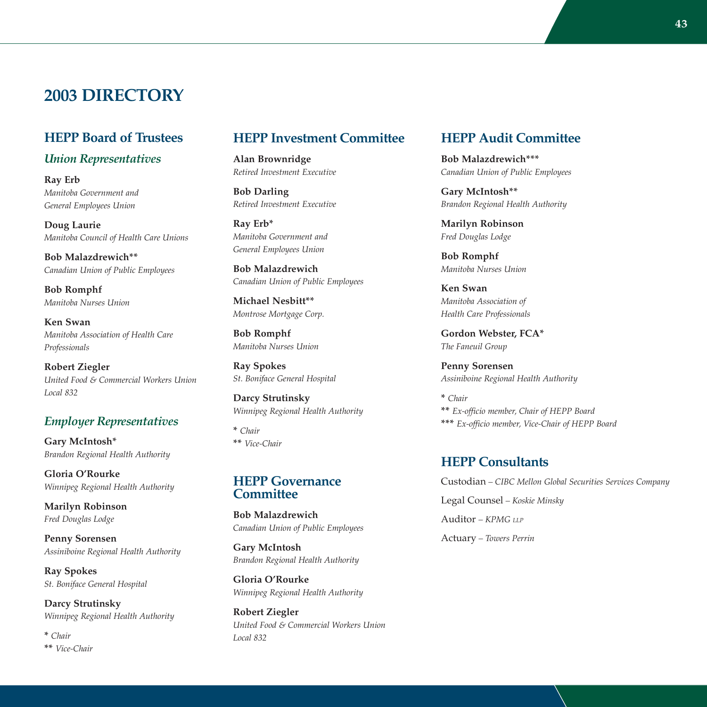### **2003 DIRECTORY**

#### **HEPP Board of Trustees**

#### *Union Representatives*

**Ray Erb** *Manitoba Government and General Employees Union*

**Doug Laurie** *Manitoba Council of Health Care Unions* 

**Bob Malazdrewich\*\*** *Canadian Union of Public Employees*

**Bob Romphf** *Manitoba Nurses Union*

**Ken Swan** *Manitoba Association of Health Care Professionals*

**Robert Ziegler** *United Food & Commercial Workers Union Local 832*

#### *Employer Representatives*

**Gary McIntosh\*** *Brandon Regional Health Authority*

**Gloria O'Rourke** *Winnipeg Regional Health Authority* 

**Marilyn Robinson** *Fred Douglas Lodge*

**Penny Sorensen** *Assiniboine Regional Health Authority*

**Ray Spokes** *St. Boniface General Hospital*

**Darcy Strutinsky** *Winnipeg Regional Health Authority* 

**\*** *Chair* **\*\*** *Vice-Chair*

#### **HEPP Investment Committee**

**Alan Brownridge** *Retired Investment Executive*

**Bob Darling** *Retired Investment Executive*

**Ray Erb\*** *Manitoba Government and General Employees Union*

**Bob Malazdrewich** *Canadian Union of Public Employees*

**Michael Nesbitt\*\*** *Montrose Mortgage Corp.*

**Bob Romphf** *Manitoba Nurses Union*

**Ray Spokes** *St. Boniface General Hospital*

**Darcy Strutinsky** *Winnipeg Regional Health Authority*

**\*** *Chair* **\*\*** *Vice-Chair*

#### **HEPP Governance Committee**

**Bob Malazdrewich** *Canadian Union of Public Employees*

**Gary McIntosh** *Brandon Regional Health Authority*

**Gloria O'Rourke** *Winnipeg Regional Health Authority*

**Robert Ziegler** *United Food & Commercial Workers Union Local 832*

#### **HEPP Audit Committee**

**Bob Malazdrewich\*\*\*** *Canadian Union of Public Employees*

**Gary McIntosh\*\*** *Brandon Regional Health Authority* 

**Marilyn Robinson** *Fred Douglas Lodge* 

**Bob Romphf** *Manitoba Nurses Union*

**Ken Swan** *Manitoba Association of Health Care Professionals* 

**Gordon Webster, FCA\*** *The Faneuil Group*

**Penny Sorensen** *Assiniboine Regional Health Authority*

**\*** *Chair* **\*\*** *Ex-officio member, Chair of HEPP Board* **\*\*\*** *Ex-officio member, Vice-Chair of HEPP Board*

#### **HEPP Consultants**

Custodian *– CIBC Mellon Global Securities Services Company* Legal Counsel *– Koskie Minsky* Auditor *– KPMG LLP* Actuary *– Towers Perrin*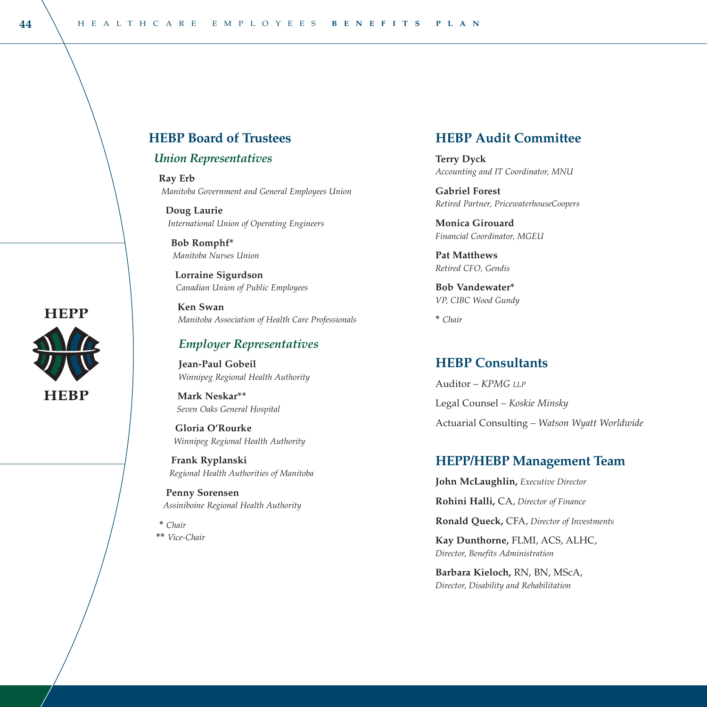#### **HEBP Board of Trustees**

#### *Union Representatives*

**Ray Erb** *Manitoba Government and General Employees Union*

**Doug Laurie** *International Union of Operating Engineers*

**Bob Romphf\*** *Manitoba Nurses Union*

**Lorraine Sigurdson** *Canadian Union of Public Employees*

**Ken Swan** *Manitoba Association of Health Care Professionals*

#### *Employer Representatives*

**Jean-Paul Gobeil** *Winnipeg Regional Health Authority*

**Mark Neskar\*\*** *Seven Oaks General Hospital*

**Gloria O'Rourke** *Winnipeg Regional Health Authority*

**Frank Ryplanski**  *Regional Health Authorities of Manitoba*

**Penny Sorensen** *Assiniboine Regional Health Authority*

**\*** *Chair* **\*\*** *Vice-Chair*

#### **HEBP Audit Committee**

**Terry Dyck** *Accounting and IT Coordinator, MNU* 

**Gabriel Forest** *Retired Partner, PricewaterhouseCoopers*

**Monica Girouard** *Financial Coordinator, MGEU*

**Pat Matthews** *Retired CFO, Gendis* 

**Bob Vandewater\*** *VP, CIBC Wood Gundy*

**\*** *Chair*

### **HEBP Consultants**

Auditor *– KPMG LLP* Legal Counsel *– Koskie Minsky* Actuarial Consulting *– Watson Wyatt Worldwide*

#### **HEPP/HEBP Management Team**

**John McLaughlin,** *Executive Director*

**Rohini Halli,** CA, *Director of Finance*

**Ronald Queck,** CFA, *Director of Investments*

**Kay Dunthorne,** FLMI, ACS, ALHC, *Director, Benefits Administration*

**Barbara Kieloch,** RN, BN, MScA, *Director, Disability and Rehabilitation*